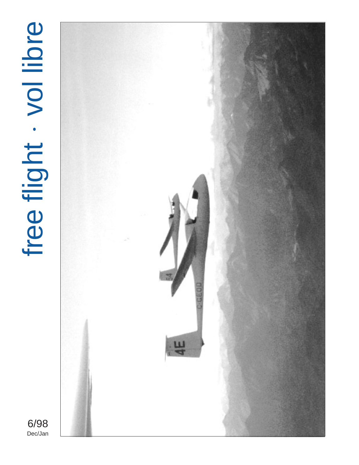# • **Free flight · vol libre**



6/98<br>Dec/Jan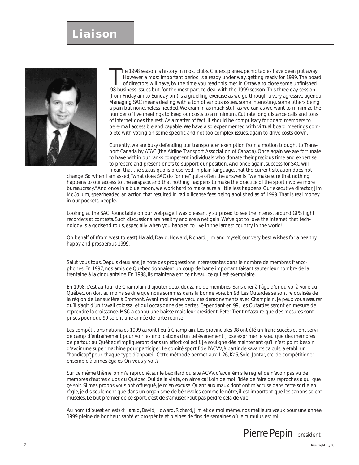### **Liaison**



he 1998 season is history in most clubs. Gliders, planes, picnic tables have been put away. However, a most important period is already under way, getting ready for 1999. The board of directors will have, by the time you read this, met in Ottawa to close some unfinished '98 business issues but, for the most part, to deal with the 1999 season. This three day session (from Friday am to Sunday pm) is a gruelling exercise as we go through a very agressive agenda. Managing SAC means dealing with a ton of various issues, some interesting, some others being a pain but nonetheless needed. We cram in as much stuff as we can as we want to minimize the number of live meetings to keep our costs to a minimum. Cut rate long distance calls and tons of Internet does the rest. As a matter of fact, it should be compulsary for board members to be e-mail accessible and capable. We have also experimented with virtual board meetings complete with voting on some specific and not too complex issues, again to drive costs down.

Currently, we are busy defending our transponder exemption from a motion brought to Transport Canada by ATAC (the Airline Transport Association of Canada). Once again we are fortunate to have within our ranks competent individuals who donate their precious time and expertise to prepare and present briefs to support our position. And once again, success for SAC will mean that the status quo is preserved, in plain language, that the current situation does not

change. So when I am asked, "what does SAC do for me", quite often the answer is, "we make sure that nothing happens to our access to the airspace, and that nothing happens to make the practice of the sport involve more bureaucracy." And once in a blue moon, we work hard to make sure a little less happens. Our executive director, Jim McCollum, spearheaded an action that resulted in radio license fees being abolished as of 1999. That is real money in our pockets, people.

Looking at the SAC Roundtable on our webpage, I was pleasantly surprised to see the interest around GPS flight recorders at contests. Such discussions are healthy and are a net gain. We've got to love the Internet: that technology is a godsend to us, especially when you happen to live in the largest country in the world!

On behalf of (from west to east) Harald, David, Howard, Richard, Jim and myself, our very best wishes for a healthy happy and prosperous 1999.

Salut vous tous. Depuis deux ans, je note des progressions intéressantes dans le nombre de membres francophones. En 1997, nos amis de Québec donnaient un coup de barre important faisant sauter leur nombre de la trentaine à la cinquantaine. En 1998, ils maintenaient ce niveau, ce qui est exemplaire.

En 1998, c'est au tour de Champlain d'ajouter deux douzaine de membres. Sans crier à l'âge d'or du vol à voile au Québec, on doit au moins se dire que nous sommes dans la bonne voie. En 98, Les Outardes se sont relocalisés de la région de Lanaudière à Bromont. Ayant moi même vécu ces déracinements avec Champlain, je peux vous assurer qu'il s'agit d'un travail colossal et qui occasionne des pertes. Cependant en 99, Les Outardes seront en mesure de reprendre la croissance. MSC a connu une baisse mais leur président, Peter Trent m'assure que des mesures sont prises pour que 99 soient une année de forte reprise.

Les compétitions nationales 1999 auront lieu à Champlain. Les provinciales 98 ont été un franc succès et ont servi de camp d'entraînement pour voir les implications d'un tel événement. J'ose exprimer le vœu que des membres de partout au Québec s'impliqueront dans un effort collectif. Je souligne dès maintenant qu'il n'est point besoin d'avoir une super machine pour participer. Le comité sportif de l'ACVV, à partir de savants calculs, a établi un "handicap" pour chaque type d'appareil. Cette méthode permet aux 1-26, Ka6, Solo, Jantar, etc. de compétitioner ensemble à armes égales. On vous y voit?

Sur ce même thème, on m'a reproché, sur le babillard du site ACVV, d'avoir émis le regret de n'avoir pas vu de membres d'autres clubs du Québec. Oui de la visite, on aime ça! Loin de moi l'idée de faire des reproches à qui que çe soit. Si mes propos vous ont offusqué, je m'en excuse. Quant aux maux dont ont m'accuse dans cette sortie en règle, je dis seulement que dans un organisme de bénévoles comme le nôtre, il est important que les canons soient muselés. Le but premier de ce sport, c'est de s'amuser. Faut pas perdre cela de vue.

Au nom (d'ouest en est) d'Harald, David, Howard, Richard, Jim et de moi même, nos meilleurs vœux pour une année 1999 pleine de bonheur, santé et prospérité et pleines de fins de semaines où le cumulus est roi.

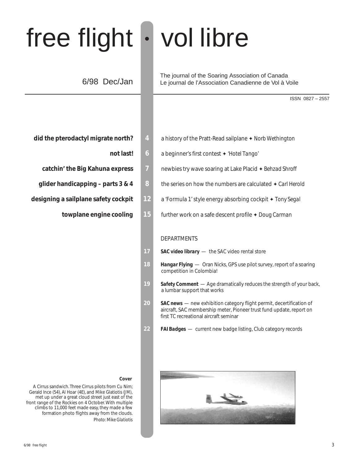# free flight • vol libre

### 6/98 Dec/Jan

The journal of the Soaring Association of Canada Le journal de l'Association Canadienne de Vol à Voile

ISSN 0827 – 2557

- **did the pterodactyl migrate north? 4** a history of the Pratt-Read sailplane ✦ *Norb Wethington*
	- **not last! 6** a beginner's first contest ✦ *'Hotel Tango'*
	- **catchin' the Big Kahuna express 7** newbies try wave soaring at Lake Placid ✦ *Behzad Shroff*
	- **glider handicapping parts 3 & 4 8 b** the series on how the numbers are calculated ♦ *Carl Herold*
- **designing a sailplane safety cockpit 12** a 'Formula 1' style energy absorbing cockpit ✦ *Tony Segal*
	- **towplane engine cooling 15** further work on a safe descent profile ✦ *Doug Carman*

### DEPARTMENTS

- 17 SAC video library the SAC video rental store
- **18** *Hangar Flying*  Oran Nicks, GPS use pilot survey, report of a soaring competition in Colombia!
- 19 **Safety Comment** Age dramatically reduces the strength of your back, a lumbar support that works
- 20 **SAC news** new exhibition category flight permit, decertification of aircraft, SAC membership meter, Pioneer trust fund update, report on first TC recreational aircraft seminar
- **22** *FAI Badges*  current new badge listing, Club category records



- 
- 
- 
- -

### **Cover**

A Cirrus sandwich. Three Cirrus pilots from Cu Nim; Gerald Ince (54), Al Hoar (4E), and Mike Glatiotis (JM), met up under a great cloud street just east of the front range of the Rockies on 4 October. With multiple climbs to 11,000 feet made easy, they made a few formation photo flights away from the clouds. *Photo: Mike Glatiotis*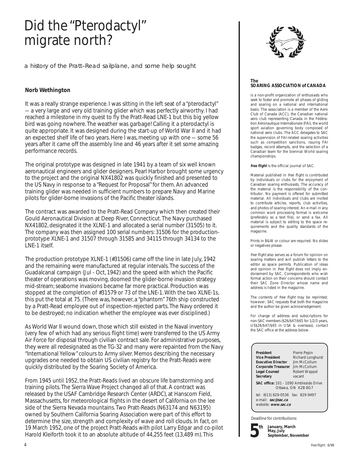# Did the "Pterodactyl" migrate north?

a history of the Pratt–Read sailplane, and some help sought

### **Norb Wethington**

It was a really strange experience. I was sitting in the left seat of a "pterodactyl" — a very large and very old training glider which was perfectly airworthy. I had reached a milestone in my quest to fly the Pratt-Read LNE-1 but this big yellow bird was going nowhere. The weather was garbage! Calling it a pterodactyl is quite appropriate. It was designed during the start-up of World War II and it had an expected shelf life of two years. Here I was, meeting up with one — some 56 years after it came off the assembly line and 46 years after it set some amazing performance records.

The original prototype was designed in late 1941 by a team of six well known aeronautical engineers and glider designers. Pearl Harbor brought some urgency to the project and the original NX41802 was quickly finished and presented to the US Navy in response to a "Request for Proposal" for them. An advanced training glider was needed in sufficient numbers to prepare Navy and Marine pilots for glider-borne invasions of the Pacific theater islands.

The contract was awarded to the Pratt-Read Company which then created their Gould Aeronautical Division at Deep River, Connecticut. The Navy purchased NX41802, designated it the XLNE-1 and allocated a serial number (31505) to it. The company was then assigned 100 serial numbers: 31506 for the productionprototype XLNE-1 and 31507 through 31585 and 34115 through 34134 to the LNE-1 itself.

The production prototype XLNE-1 (#31506) came off the line in late July, 1942 and the remaining were manufactured at regular intervals. The success of the Guadalcanal campaign (Jul - Oct, 1942) and the speed with which the Pacific theater of operations was moving, doomed the glider-borne invasion strategy mid-stream; seaborne invasions became far more practical. Production was stopped at the completion of #31579 or 73 of the LNE-1. With the two XLNE-1s, this put the total at 75. (There was, however, a "phantom" 76th ship constructed by a Pratt-Read employee out of inspection-rejected parts. The Navy ordered it to be destroyed; no indication whether the employee was ever disciplined.)

As World War II wound down, those which still existed in the Naval inventory (very few of which had any serious flight time) were transferred to the US Army Air Force for disposal through civilian contract sale. For administrative purposes, they were all redesignated as the TG-32 and many were repainted from the Navy "International Yellow" colours to Army silver. Memos describing the necessary upgrades one needed to obtain US civilian registry for the Pratt-Reads were quickly distributed by the Soaring Society of America.

From 1945 until 1952, the Pratt-Reads lived an obscure life barnstorming and training pilots. The Sierra Wave Project changed all of that. A contract was released by the USAF Cambridge Research Center (ARDC), at Hanscom Field, Massachusetts, for meteorological flights in the desert of California on the lee side of the Sierra Nevada mountains. Two Pratt-Reads (N63174 and N63195) owned by Southern California Soaring Association were part of this effort to determine the size, strength and complexity of wave and roll clouds. In fact, on 19 March 1952, one of the project Pratt-Reads with pilot Larry Edgar and co-pilot Harold Kleiforth took it to an absolute altitude of 44,255 feet (13,489 m). This



### **The SOARING ASSOCIATION of CANADA**

is a non-profit organization of enthusiasts who seek to foster and promote all phases of gliding and soaring on a national and international basis. The association is a member of the Aero Club of Canada (ACC), the Canadian national aero club representing Canada in the Fédération Aéronautique Internationale (FAI), the world sport aviation governing body composed of national aero clubs. The ACC delegates to SAC the supervision of FAI-related soaring activities such as competition sanctions, issuing FAI badges, record attempts, and the selection of a Canadian team for the biennial World soaring championships.

**free flight** is the official journal of SAC.

Material published in free flight is contributed by individuals or clubs for the enjoyment of Canadian soaring enthusiasts. The accuracy of the material is the responsibility of the contributor. No payment is offered for submitted material. All individuals and clubs are invited to contribute articles, reports, club activities, and photos of soaring interest. An e-mail in any common word processing format is welcome (preferably as a text file), or send a fax. All material is subject to editing to the space requirements and the quality standards of the magazine.

Prints in B&W or colour are required. No slides or negatives please.

free flight also serves as a forum for opinion on soaring matters and will publish letters to the editor as space permits. Publication of ideas and opinion in free flight does not imply endorsement by SAC. Correspondents who wish formal action on their concerns should contact their SAC Zone Director whose name and address is listed in the magazine.

The contents of free flight may be reprinted; however, SAC requests that both the magazine and the author be given acknowledgement.

For change of address and subscriptions for non-SAC members (\$26/\$47/\$65 for 1/2/3 years, US\$26/\$47/\$65 in USA & overseas), contact the SAC office at the address below.

| President                  | Pierre Pepin      |
|----------------------------|-------------------|
| <b>Vice President</b>      | Richard Longhurst |
| <b>Executive Director</b>  | Jim McCollum      |
| <b>Corporate Treasurer</b> | Jim McCollum      |
| <b>Legal Counsel</b>       | Robert Wappel     |
| Secretary                  | vacant            |
|                            |                   |

cant **SAC office:** 101 – 1090 Ambleside Drive Ottawa, ON K2B 8G7

tel: (613) 829-0536 fax: 829-9497 e-mail: **sac@sac.ca** website: **www.sac.ca**

Deadline for contributions:



**January, March May, July September, November**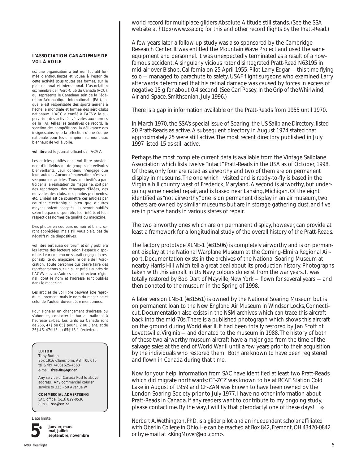### **L'ASSOCIATION CANADIENNE DE VOL À VOILE**

est une organisation à but non lucratif formée d'enthousiastes et vouée à l'essor de cette activité sous toutes ses formes, sur le plan national et international. L'association est membre de l'Aéro-Club du Canada (ACC), qui représente le Canadaau sein de la Fédération Aéronautique Internationale (FAI), laquelle est responsable des sports aériens à l'échelle mondiale et formée des aéro-clubs nationaux. L'ACC a confié à l'ACVV la supervision des activités vélivoles aux normes de la FAI, telles les tentatives de record, la sanction des compétitions, la délivrance des insignes,ainsi que la sélection d'une équipe nationale pour les championnats mondiaux biennaux de vol à voile.

**vol libre** est le journal officiel de l'ACVV.

Les articles publiés dans vol libre proviennent d'individus ou de groupes de vélivoles bienveillants. Leur contenu n'engage que leurs auteurs. Aucune rémunération n'est versée pour ces articles. Tous sont invités à participer à la réalisation du magazine, soit par des reportages, des échanges d'idées, des nouvelles des clubs, des photos pertinentes, etc. L'idéal est de soumettre ces articles par courrier électronique, bien que d'autres moyens soient acceptés. Ils seront publiés selon l'espace disponible, leur intérêt et leur respect des normes de qualité du magazine.

Des photos en couleurs ou noir et blanc seront appréciées, mais s'il vous plaît, pas de négatifs ni de diapositives.

vol libre sert aussi de forum et on y publiera les lettres des lecteurs selon l'espace disponible. Leur contenu ne saurait engager la responsabilité du magazine, ni celle de l'Association. Toute personne qui désire faire des représentations sur un sujet précis auprès de l'ACVV devra s'adresser au directeur régional, dont le nom et l'adresse sont publiés dans le magazine.

Les articles de vol libre peuvent être reproduits librement, mais le nom du magazine et celui de l'auteur doivent être mentionnés.

Pour signaler un changement d'adresse ou s'abonner, contacter le bureau national à l'adresse ci-bas. Les tarifs au Canada sont de 26\$, 47\$ ou 65\$ pour 1, 2 ou 3 ans, et de 26\$US, 47\$US ou 65\$US à l'extérieur.

### **EDITOR**

Tony Burton Box 1916 Claresholm, AB T0L 0T0 tel & fax (403) 625-4563 e-mail **free-flt@agt.net**

Any service of Canada Post to above address. Any commercial courier service to 335 - 50 Avenue W

**COMMERCIAL ADVERTISING** SAC office (613) 829-0536 e-mail **sac@sac.ca**

Date limite:



**janvier, mars mai, juillet septembre, novembre** world record for multiplace gliders Absolute Altitude still stands. (See the SSA website at *http://www.ssa.org* for this and other record flights by the Pratt-Read.)

A few years later, a follow-up study was also sponsored by the Cambridge Research Center. It was entitled the Mountain Wave Project and used the same equipment and personnel. It was unexpectedly terminated as a result of a nowfamous accident. A singularly vicious rotor disintegrated Pratt-Read N63195 in mid-air over Bishop, California on 25 April 1955. Pilot Larry Edgar — this time flying solo — managed to parachute to safety. USAF flight surgeons who examined Larry afterwards determined that his retinal damage was caused by forces in excess of negative 15 g for about 0.4 second. (See Carl Posey, *In the Grip of the Whirlwind*, Air and Space, Smithsonian, July 1996.)

There is a gap in information available on the Pratt-Reads from 1955 until 1970.

In March 1970, the SSA's special issue of Soaring, the *US Sailplane Directory*, listed 20 Pratt-Reads as active. A subsequent directory in August 1974 stated that approximately 25 were still active. The most recent directory published in July 1997 listed 15 as still active.

Perhaps the most complete current data is available from the Vintage Sailplane Association which lists twelve "intact" Pratt-Reads in the USA as of October, 1998. Of those, only four are rated as airworthy and two of them are on permanent display in museums. The one which I visited and is ready-to-fly is based in the Virginia hill country west of Frederick, Maryland. A second is airworthy, but undergoing some needed repair, and is based near Lansing, Michigan. Of the eight identified as "not airworthy", one is on permanent display in an air museum, two others are owned by similar museums but are in storage gathering dust, and five are in private hands in various states of repair.

The two airworthy ones which are on permanent display, however, can provide at least a framework for a longitudinal study of the overall history of the Pratt-Reads.

The factory prototype XLNE-1 (#31506) is completely airworthy and is on permanent display at the National Warplane Museum at the Corning-Elmira Regional Airport. Documentation exists in the archives of the National Soaring Museum at nearby Harris Hill which tell a great deal about its production history. Photographs taken with this aircraft in US Navy colours do exist from the war years. It was totally restored by Bob Dart of Mayville, New York — flown for several years — and then donated to the museum in the Spring of 1998.

A later version LNE-1 (#31561) is owned by the National Soaring Museum but is on permanent loan to the New England Air Museum in Windsor Locks, Connecticut. Documentation also exists in the NSM archives which can trace this aircraft back into the mid-70s. There is a published photograph which shows this aircraft on the ground during World War II. It had been totally restored by Jan Scott of Lovettsville, Virginia — and donated to the museum in 1988. The history of both of these two airworthy museum aircraft have a major gap from the time of the salvage sales at the end of World War II until a few years prior to their acquisition by the individuals who restored them. Both are known to have been registered and flown in Canada during that time.

❖ Now for your help. Information from SAC have identified at least two Pratt-Reads which did migrate northwards: CF-ZCZ was known to be at RCAF Station Cold Lake in August of 1959 and CF-ZAN was known to have been owned by the London Soaring Society prior to July 1977. I have no other information about Pratt-Reads in Canada. If any readers want to contribute to my ongoing study, please contact me. By the way, I will fly that pterodactyl one of these days!

*Norbert A. Wethington, PhD, is a glider pilot and an independent scholar affiliated with Oberlin College in Ohio. He can be reached at Box 842, Fremont, OH 43420-0842 or by e-mail at <KingMover@aol.com>.*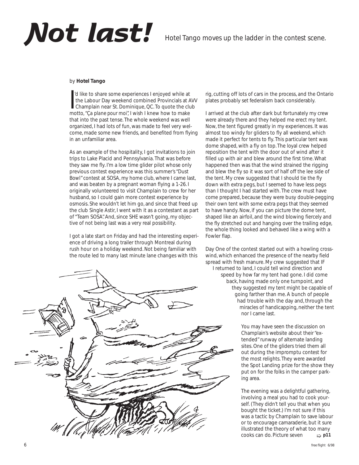# **Not last!** Hotel Tango moves up the ladder in the contest scene.

### by **Hotel Tango**

I'd like to share some experiences I enjoyed while at<br>the Labour Day weekend combined Provincials at *I*<br>champlain near St. Dominique, QC. To quote the clumotto, *"Ça plane pour moi"*, I wish I knew how to make 'd like to share some experiences I enjoyed while at the Labour Day weekend combined Provincials at AVV Champlain near St. Dominique, QC. To quote the club that into the past tense. The whole weekend was well organized, I had lots of fun, was made to feel very welcome, made some new friends, and benefited from flying in an unfamiliar area.

As an example of the hospitality, I got invitations to join trips to Lake Placid and Pennsylvania. That was before they saw me fly. I'm a low time glider pilot whose only previous contest experience was this summer's "Dust Bowl" contest at SOSA, my home club, where I came last, and was beaten by a pregnant woman flying a 1-26. I originally volunteered to visit Champlain to crew for her husband, so I could gain more contest experience by osmosis. She wouldn't let him go, and since that freed up the club Single Astir, I went with it as a contestant as part of "Team SOSA". And, since SHE wasn't going, my objective of not being last was a very real possibility.

I got a late start on Friday and had the interesting experience of driving a long trailer through Montreal during rush hour on a holiday weekend. Not being familiar with the route led to many last minute lane changes with this



rig, cutting off lots of cars in the process, and the Ontario plates probably set federalism back considerably.

I arrived at the club after dark but fortunately my crew were already there and they helped me erect my tent. Now, the tent figured greatly in my experiences. It was almost too windy for gliders to fly all weekend, which made it perfect for tents to fly. This particular tent was dome shaped, with a fly on top. The loyal crew helped reposition the tent with the door out of wind after it filled up with air and blew around the first time. What happened then was that the wind strained the rigging and blew the fly so it was sort of half off the lee side of the tent. My crew suggested that I should tie the fly down with extra pegs, but I seemed to have less pegs than I thought I had started with. The crew must have come prepared, because they were busy double-pegging their own tent with some extra pegs that they seemed to have handy. Now, if you can picture the dome tent, shaped like an airfoil, and the wind blowing fiercely and the fly stretched out and hanging over the trailing edge, the whole thing looked and behaved like a wing with a Fowler flap.

Day One of the contest started out with a howling crosswind, which enhanced the presence of the nearby field spread with fresh manure. My crew suggested that IF I returned to land, I could tell wind direction and speed by how far my tent had gone. I did come back, having made only one turnpoint, and they suggested my tent might be capable of going farther than me. A bunch of people had trouble with the day and, through the miracles of handicapping, neither the tent nor I came last.

> You may have seen the discussion on Champlain's website about their "extended" runway of alternate landing sites. One of the gliders tried them all out during the impromptu contest for the most relights. They were awarded the Spot Landing prize for the show they put on for the folks in the camper parking area.

The evening was a delightful gathering, involving a meal you had to cook yourself. (They didn't tell you that when you bought the ticket.) I'm not sure if this was a tactic by Champlain to save labour or to encourage camaraderie, but it sure illustrated the theory of what too many cooks can do. Picture seven ➯ **p11**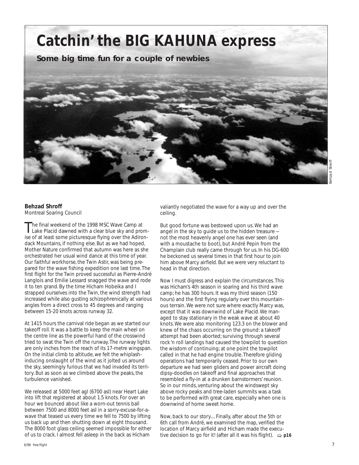**Catchin' the BIG KAHUNA express**

**Some big time fun for a couple of newbies**



### **Behzad Shroff** Montreal Soaring Council

The final weekend of the 1998 MSC Wave Camp at<br>Lake Placid dawned with a clear blue sky and promise of at least some picturesque flying over the Adirondack Mountains, if nothing else. But as we had hoped, Mother Nature confirmed that autumn was here as she orchestrated her usual wind dance at this time of year. Our faithful workhorse, the Twin Astir, was being prepared for the wave fishing expedition one last time. The first flight for the Twin proved successful as Pierre-André Langlois and Emilie Lessard snagged the wave and rode it to ten grand. By the time Hicham Hobeika and I strapped ourselves into the Twin, the wind strength had increased while also gusting schizophrenically at various angles from a direct cross to 45 degrees and ranging between 15-20 knots across runway 32.

At 1415 hours the carnival ride began as we started our takeoff roll. It was a battle to keep the main wheel on the centre line as the powerful hand of the crosswind tried to swat the Twin off the runway. The runway lights are only inches from the reach of its 17-metre wingspan. On the initial climb to altitude, we felt the whiplashinducing onslaught of the wind as it jolted us around the sky, seemingly furious that we had invaded its territory. But as soon as we climbed above the peaks, the turbulence vanished.

We released at 5000 feet agl (6700 asl) near Heart Lake into lift that registered at about 1.5 knots. For over an hour we bounced about like a worn-out tennis ball between 7500 and 8000 feet asl in a sorry-excuse-for-awave that teased us every time we fell to 7500 by lifting us back up and then shutting down at eight thousand. The 8000 foot glass ceiling seemed impossible for either of us to crack. I almost fell asleep in the back as Hicham

valiantly negotiated the wave for a way up and over the ceiling.

But good fortune was bestowed upon us. We had an angel in the sky to guide us to the hidden treasure not the most heavenly angel one has ever seen (and with a moustache to boot), but André Pepin from the Champlain club really came through for us. In his DG-600 he beckoned us several times in that first hour to join him above Marcy airfield. But we were very reluctant to head in that direction.

Now I must digress and explain the circumstances. This was Hicham's 4th season in soaring and his third wave camp; he has 300 hours. It was my third season (150 hours) and the first flying regularly over this mountainous terrain. We were not sure where exactly Marcy was, except that it was downwind of Lake Placid. We managed to stay stationary in the weak wave at about 40 knots. We were also monitoring 123.3 on the blower and knew of the chaos occurring on the ground: a takeoff attempt had been aborted; surviving through several rock 'n roll landings had caused the towpilot to question the wisdom of continuing; at one point the towpilot called in that he had engine trouble. Therefore gliding operations had temporarily ceased. Prior to our own departure we had seen gliders and power aircraft doing dipsy-doodles on takeoff and final approaches that resembled a fly-in at a drunken barnstormers' reunion. So in our minds, venturing about the windswept sky above rocky peaks and tree-laden summits was a task to be performed with great care, especially when one is downwind of home sweet home.

Now, back to our story.... Finally, after about the 5th or 6th call from André, we examined the map, verified the location of Marcy airfield and Hicham made the executive decision to go for it! (after all it was his flight).  $\Rightarrow$  p16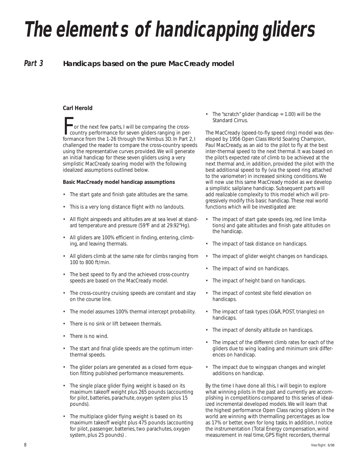# *The elements of handicapping gliders*

### *Part 3* **Handicaps based on the pure MacCready model**

### **Carl Herold**

For the next few parts, I will be comparing the cross-<br>country performance for seven gliders ranging in per-<br>formance from the 1-26 through the Nimbus 3D In Part 3 formance from the 1-26 through the Nimbus 3D. In Part 2, I challenged the reader to compare the cross-country speeds using the representative curves provided. We will generate an initial handicap for these seven gliders using a very simplistic MacCready soaring model with the following idealized assumptions outlined below.

### **Basic MacCready model handicap assumptions**

- The start gate and finish gate altitudes are the same.
- This is a very long distance flight with no landouts.
- All flight airspeeds and altitudes are at sea level at standard temperature and pressure (59°F and at 29.92"Hg).
- All gliders are 100% efficient in finding, entering, climbing, and leaving thermals.
- All gliders climb at the same rate for climbs ranging from 100 to 800 ft/min.
- The best speed to fly and the achieved cross-country speeds are based on the MacCready model.
- The cross-country cruising speeds are constant and stay on the course line.
- The model assumes 100% thermal intercept probability.
- There is no sink or lift between thermals.
- There is no wind.
- The start and final glide speeds are the optimum interthermal speeds.
- The glider polars are generated as a closed form equation fitting pubIished performance measurements.
- The single place glider flying weight is based on its maximum takeoff weight plus 265 pounds (accounting for pilot, batteries, parachute, oxygen system plus 15 pounds).
- The multiplace glider flying weight is based on its maximum takeoff weight plus 475 pounds (accounting for pilot, passenger, batteries, two parachutes, oxygen system, plus 25 pounds) .

The "scratch" glider (handicap  $= 1.00$ ) will be the Standard Cirrus.

The MacCready (speed-to-fly speed ring) model was developed by 1956 Open Class World Soaring Champion, Paul MacCready, as an aid to the pilot to fly at the best inter-thermal speed to the next thermal. It was based on the pilot's expected rate of climb to be achieved at the next thermal and, in addition, provided the pilot with the best additional speed to fly (via the speed ring attached to the variometer) in increased sinking conditions. We will now use this same MacCready model as we develop a simplistic sailplane handicap. Subsequent parts will add realizable complexity to this model which will progressively modify this basic handicap. These real world functions which will be investigated are:

- The impact of start gate speeds (eg, red line limitations) and gate altitudes and finish gate altitudes on the handicap.
- The impact of task distance on handicaps.
- The impact of glider weight changes on handicaps.
- The impact of wind on handicaps.
- The impact of height band on handicaps.
- The impact of contest site field elevation on handicaps.
- The impact of task types (O&R, POST, triangles) on handicaps.
- The impact of density altitude on handicaps.
- The impact of the different climb rates for each of the gliders due to wing loading and minimum sink differences on handicap.
- The impact due to wingspan changes and winglet additions on handicap.

By the time I have done all this, I will begin to explore what winning pilots in the past and currently are accomplishing in competitions compared to this series of idealized incremental developed models. We will learn that the highest performance Open Class racing gliders in the world are winning with thermalling percentages as low as 17% or better, even for long tasks. In addition, I notice the instrumentation (Total Energy compensation, wind measurement in real time, GPS flight recorders, thermal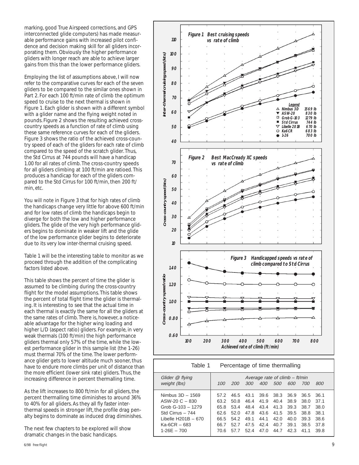marking, good True Airspeed corrections, and GPS interconnected glide computers) has made measurable performance gains with increased pilot confidence and decision making skill for all gliders incorporating them. Obviously the higher performance gliders with longer reach are able to achieve larger gains from this than the lower performance gliders.

Employing the list of assumptions above, I will now refer to the comparative curves for each of the seven gliders to be compared to the similar ones shown in Part 2. For each 100 ft/min rate of climb the optimum speed to cruise to the next thermal is shown in Figure 1. Each glider is shown with a different symbol with a glider name and the flying weight noted in pounds. Figure 2 shows the resulting achieved crosscountry speeds as a function of rate of climb using these same reference curves for each of the gliders. Figure 3 shows the ratio of the achieved cross-country speed of each of the gliders for each rate of climb compared to the speed of the scratch glider. Thus, the Std Cirrus at 744 pounds will have a handicap 1.00 for all rates of climb. The cross-country speeds for all gliders climbing at 100 ft/min are ratioed. This produces a handicap for each of the gliders compared to the Std Cirrus for 100 ft/min, then 200 ft/ min, etc.

You will note in Figure 3 that for high rates of climb the handicaps change very little for above 600 ft/min and for low rates of climb the handicaps begin to diverge for both the low and higher performance gliders. The glide of the very high performance gliders begins to dominate in weaker lift and the glide of the low performance glider begins to deteriorate due to its very low inter-thermal cruising speed.

Table 1 will be the interesting table to monitor as we proceed through the addition of the complicating factors listed above.

This table shows the percent of time the glider is assumed to be climbing during the cross-country flight for the model assumptions. This table shows the percent of total flight time the glider is thermaling. It is interesting to see that the actual time in each thermal is exactly the same for all the gliders at the same rates of climb. There is, however, a noticeable advantage for the higher wing loading and higher L/D (aspect ratio) gliders. For example, in very weak thermals (100 ft/min) the high performance gliders thermal only 57% of the time, while the lowest performance glider in this sample list (the 1-26) must thermal 70% of the time. The lower performance glider gets to lower altitude much sooner, thus have to endure more climbs per unit of distance than the more efficient (lower sink rate) gliders. Thus, the increasing difference in percent thermalling time.

As the lift increases to 800 ft/min for all gliders, the percent thermalling time diminishes to around 36% to 40% for all gliders. As they all fly faster interthermal speeds in stronger lift, the profile drag penalty begins to dominate as induced drag diminishes.

The next few chapters to be explored will show dramatic changes in the basic handicaps.



| Table 1             | Percentage of time thermalling |            |      |            |            |      |      |      |
|---------------------|--------------------------------|------------|------|------------|------------|------|------|------|
| Glider @ flying     | Average rate of climb - ft/min |            |      |            |            |      |      |      |
| weight (lbs)        | 100                            | <i>200</i> | 300  | <i>400</i> | <i>500</i> | 600  | 700  | 800  |
| Nimbus $3D - 1569$  | 57.2                           | 46.5       | 43.1 | 39.6       | 38.3       | 36.9 | 36.5 | 36.1 |
| $ASW-20 C - 830$    | 63.2                           | 50.8       | 46.4 | 41.9       | 40.4       | 38.9 | 38.0 | 37.1 |
| Grob G-103 - 1279   | 65.8                           | 53.4       | 48.4 | 43.4       | 41.3       | 39.3 | 38.7 | 38.0 |
| Std Cirrus - 744    | 62.6                           | 52.0       | 47.8 |            | 43.6 41.5  | 39.5 | 38.8 | 38.1 |
| Libelle H201B - 670 | 66.5                           | 54.2       | 49.1 | 44.1       | 42.0       | 40.0 | 39.3 | 38.6 |
| $Ka-6CR - 683$      | 66.7                           | 52.7       | 47.5 | 42.4       | 40.7       | 39.1 | 38.5 | 37.8 |
| $1-26F - 700$       | 70.6                           | 57.7       | 52.4 | 47.0       | 44.7       | 42.3 | 41.1 | 39.8 |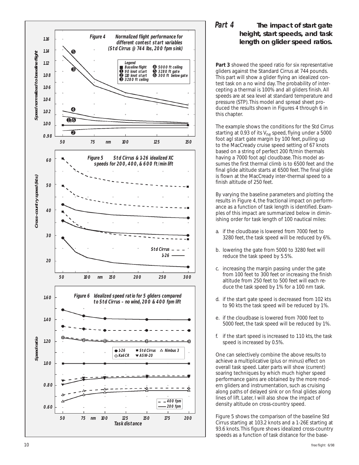

### *Part 4* **The impact of start gate height, start speeds, and task length on glider speed ratios.**

**Part 3** showed the speed ratio for six representative gliders against the Standard Cirrus at 744 pounds. This part will show a glider flying an idealized contest task on a no wind day. The probability of intercepting a thermal is 100% and all gliders finish. All speeds are at sea level at standard temperature and pressure (STP). This model and spread sheet produced the results shown in Figures 4 through 6 in this chapter.

The example shows the conditions for the Std Cirrus starting at 0.93 of its  $V_{\text{ne}}$  speed, flying under a 5000 foot agl start gate margin by 100 feet, pulling up to the MacCready cruise speed setting of 67 knots based on a string of perfect 200 ft/min thermals having a 7000 foot agl cloudbase. This model assumes the first thermal climb is to 6500 feet and the final glide altitude starts at 6500 feet. The final glide is flown at the MacCready inter-thermal speed to a finish altitude of 250 feet.

By varying the baseline parameters and plotting the results in Figure 4, the fractional impact on performance as a function of task length is identified. Examples of this impact are summarized below in diminishing order for task length of 100 nautical miles:

- a. if the cloudbase is lowered from 7000 feet to 3280 feet, the task speed will be reduced by 6%.
- b. lowering the gate from 5000 to 3280 feet will reduce the task speed by 5.5%.
- c. increasing the margin passing under the gate from 100 feet to 300 feet or increasing the finish altitude from 250 feet to 500 feet will each reduce the task speed by 1% for a 100 nm task.
- d. if the start gate speed is decreased from 102 kts to 90 kts the task speed will be reduced by 1%.
- e. if the cloudbase is lowered from 7000 feet to 5000 feet, the task speed will be reduced by 1%.
- f. if the start speed is increased to 110 kts, the task speed is increased by 0.5%.

One can selectively combine the above results to achieve a multiplicative (plus or minus) effect on overall task speed. Later parts will show (current) soaring techniques by which much higher speed performance gains are obtained by the more modern gliders and instrumentation, such as cruising along paths of delayed sink or on final glides along lines of lift. Later, I will also show the impact of density altitude on cross-country speed.

Figure 5 shows the comparison of the baseline Std Cirrus starting at 103.2 knots and a 1-26E starting at 93.6 knots. This figure shows idealized cross-country speeds as a function of task distance for the base-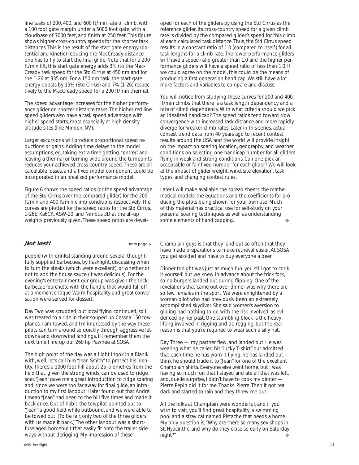line tasks of 200, 400, and 600 ft/min rate of climb, with a 100 foot gate margin under a 5000 foot gate, with a cloudbase of 7000 feet, and finish at 250 feet. This figure shows higher cross-country speeds for the shorter task distances. This is the result of the start gate energy (potential and kinetic) reducing the MacCready distance one has to fly to start the final glide. Note that for a 200 ft/min lift, this start gate energy adds 3% (to the Mac-Cready task speed for the Std Cirrus at 450 nm and for the 1-26 at 335 nm. For a 150 nm task, the start gate energy boosts by 15% (Std Cirrus) and 7% (1-26) respectively to the MacCready speed for a 200 ft/min thermal.

The speed advantage increases for the higher performance glider on shorter distance tasks. The higher red line speed gliders also have a task speed advantage with higher speed starts, most especially at high density altitude sites (like Minden, NV).

Larger excursions will produce proportional speed reductions or gains. Adding time delays to the model assumptions, eg, taking extra time getting centred and leaving a thermal or turning wide around the turnpoints reduces your achieved cross-country speed. These are all calculable losses, and a fixed model component could be incorporated in an idealized performance model.

Figure 6 shows the speed ratios (or the speed advantage of the Std Cirrus over the compared glider) for the 200 ft/min and 400 ft/min climb conditions respectively. The curves are plotted for the speed ratios for the Std Cirrus, 1-26E, Ka6CR, ASW-20, and Nimbus 3D at the all-up weights previously given. These speed ratios are devel- some elements of handicapping.  $\bullet$ 

oped for each of the gliders by using the Std Cirrus as the reference glider. Its cross-country speed for a given climb rate is divided by the compared glider's speed for this climb at each calculated task distance. Thus, the Std Cirrus speed results in a constant ratio of 1.0 (compared to itself) for all task lengths for a climb rate. The lower performance gliders will have a speed ratio greater than 1.0 and the higher performance gliders will have a speed ratio of Iess than 1.0. If we could agree on the model, this could be the means of producing a first generation handicap. We still have a lot more factors and variables to compare and discuss.

You will notice from studying these curves for 200 and 400 ft/min climbs that there is a task Iength dependency and a rate of climb dependency. With what criteria should we pick an idealized handicap? The speed ratios tend toward slow convergence with increased task distance and more rapidly diverge for weaker climb rates. Later in this series, actual contest trend data from 40 years ago to recent contest results around the USA and the world will provide insight on the impact on soaring location, geography, and weather conditions on selecting one handicap number for all gliders flying in weak and strong conditions. Can one pick an acceptable or fair fixed number for each glider? We will look at the impact of glider weight, wind, site elevation, task types, and changing contest rules.

Later I will make available the spread sheets, the mathematical models, the equations and the coefficients for producing the plots being shown for your own use. Much of this material has practical use for self-study on your personal soaring techniques as well as understanding some elements of handicapping.

### **Not last!** from page 6

people (with drinks) standing around several thoughtfully supplied barbecues, by flashlight, discussing when to turn the steaks (which were excellent), or whether or not to add the house sauce (it was delicious). For the evening's entertainment our group was given the trick *barbecue fourchette* with the handle that would fall off at a *moment critique*. Warm hospitality and great conversation were served for dessert.

Day Two was scrubbed, but local flying continued, so I was treated to a ride in their souped up Cessna 150 towplanes. I am towed, and I'm impressed by the way these pilots can turn around so quickly through aggressive letdowns and downwind landings. I'll remember them the next time I fire up our 260 hp Pawnee at SOSA.

The high point of the day was a flight I took in a Blanik with, well, let's call him "Jean Smith" to protect his identity. There's a 1000 foot hill about 25 kilometres from the field that, given the strong winds, can be used to ridge soar. "Jean" gave me a great introduction to ridge soaring and, since we were too far away for final glide, an introduction to my first landout. I later found out that André, I mean "Jean" had been to the hill five times and made it back once. Out of habit, the towpilot pointed out to "Jean" a good field while outbound, and we were able to be towed out. (To be fair, only two of the three gliders with us made it back.) The other landout was a shortfuselaged homebuilt that easily fit onto the trailer sideChamplain guys is that they land out so often that they have made preparations to make retrieval easier. At SOSA you get scolded and have to buy everyone a beer.

Dinner tonight was just as much fun, you still got to cook it yourself, but we knew in advance about the trick fork, so no burgers landed out during flipping. One of the revelations that came out over dinner was why there are so few females in the sport. We were enlightened by a woman pilot who had previously been an extremely accomplished skydiver. She said women's aversion to gliding had nothing to do with the risk involved, as evidenced by her past. One stumbling block is the heavy lifting involved in rigging and de-regging, but the real reason is that you're required to wear such a silly hat.

Day Three — my partner flew, and landed out. He was wearing what he called his "lucky T-shirt", but admitted that each time he has worn it flying, he has landed out. I think he should trade it to "Jean" for one of the excellent Champlain shirts. Everyone else went home, but I was having so much fun that I stayed and ate all that was left, and, quelle surprise, I didn't have to cook my dinner — Pierre Pepin did it for me. Thanks, Pierre. Then it got real dark and started to rain and they threw me out.

ways without derigging. My impression of these  $\longrightarrow$  night?" All the folks at Champlain were wonderful, and if you wish to visit, you'll find great hospitality, a swimming pool and a stray cat named Pistache that needs a home. My only question is, "Why are there so many sex shops in St. Hyacinthe, and why do they close so early on Saturday night?"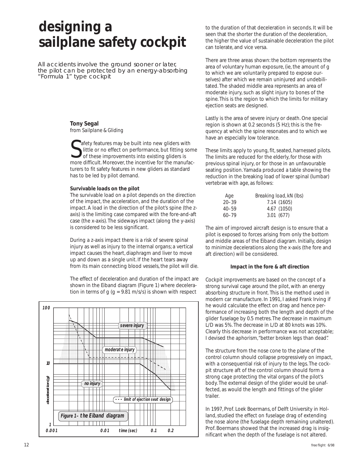## **designing a sailplane safety cockpit**

All accidents involve the ground sooner or later, the pilot can be protected by an energy-absorbing "Formula 1" type cockpit

### **Tony Segal** from *Sailplane & Gliding*

Safety features may be built into new gliders with<br>ittle or no effect on performance, but fitting som<br>of these improvements into existing gliders is<br>more difficult. Moreover, the incentive for the manufac-**A** afety features may be built into new gliders with little or no effect on performance, but fitting some of these improvements into existing gliders is turers to fit safety features in new gliders as standard has to be led by pilot demand.

### **Survivable loads on the pilot**

The survivable load on a pilot depends on the direction of the impact, the acceleration, and the duration of the impact. A load in the direction of the pilot's spine (the zaxis) is the limiting case compared with the fore-and-aft case (the x-axis). The sideways impact (along the y-axis) is considered to be less significant.

During a z-axis impact there is a risk of severe spinal injury as well as injury to the internal organs; a vertical impact causes the heart, diaphragm and liver to move up and down as a single unit. If the heart tears away from its main connecting blood vessels, the pilot will die.

The effect of deceleration and duration of the impact are shown in the Eiband diagram (Figure 1) where deceleration in terms of g ( $g = 9.81$  m/s/s) is shown with respect



to the duration of that deceleration in seconds. It will be seen that the shorter the duration of the deceleration, the higher the value of sustainable deceleration the pilot can tolerate, and vice versa.

There are three areas shown: the bottom represents the area of voluntary human exposure, (ie, the amount of g to which we are voluntarily prepared to expose ourselves) after which we remain uninjured and undebilitated. The shaded middle area represents an area of moderate injury, such as slight injury to bones of the spine. This is the region to which the limits for military ejection seats are designed.

Lastly is the area of severe injury or death. One special region is shown at 0.2 seconds (5 Hz); this is the frequency at which the spine resonates and to which we have an especially low tolerance.

These limits apply to young, fit, seated, harnessed pilots. The limits are reduced for the elderly, for those with previous spinal injury, or for those in an unfavourable seating position. Yamada produced a table showing the reduction in the breaking load of lower spinal (lumbar) vertebrae with age, as follows:

| Aqe       | Breaking load, kN (lbs) |
|-----------|-------------------------|
| $20 - 39$ | 7.14(1605)              |
| $40 - 59$ | 4.67 (1050)             |
| 60–79     | 3.01(677)               |

The aim of improved aircraft design is to ensure that a pilot is exposed to forces arising from only the bottom and middle areas of the Eiband diagram. Initially, design to minimize decelerations along the x-axis (the fore and aft direction) will be considered.

### **Impact in the fore & aft direction**

Cockpit improvements are based on the concept of a strong survival cage around the pilot, with an energy absorbing structure in front. This is the method used in modern car manufacture. In 1991, I asked Frank Irving if he would calculate the effect on drag and hence performance of increasing both the length and depth of the glider fuselage by 0.5 metres. The decrease in maximum L/D was 5%. The decrease in L/D at 80 knots was 10%. Clearly this decrease in performance was not acceptable; I devised the aphorism, "better broken legs than dead".

The structure from the nose cone to the plane of the control column should collapse progressively on impact, with a consequential risk of injury to the legs. The cockpit structure aft of the control column should form a strong cage protecting the vital organs of the pilot's body. The external design of the glider would be unaffected, as would the length and fittings of the glider trailer.

In 1997, Prof. Loek Boermans, of Delft University in Holland, studied the effect on fuselage drag of extending the nose alone (the fuselage depth remaining unaltered). Prof. Boermans showed that the increased drag is insignificant when the depth of the fuselage is not altered.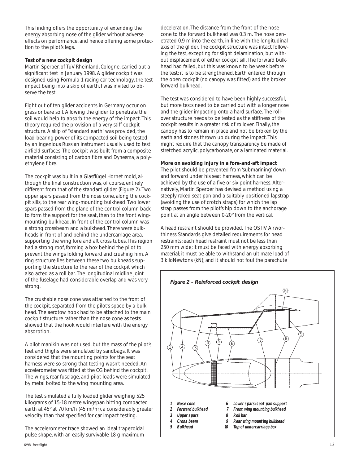This finding offers the opportunity of extending the energy absorbing nose of the glider without adverse effects on performance, and hence offering some protection to the pilot's legs.

### **Test of a new cockpit design**

Martin Sperber, of TuV Rheinland, Cologne, carried out a significant test in January 1998. A glider cockpit was designed using Formula-1 racing car technology, the test impact being into a skip of earth. I was invited to observe the test.

Eight out of ten glider accidents in Germany occur on grass or bare soil. Allowing the glider to penetrate the soil would help to absorb the energy of the impact. This theory required the provision of a very stiff cockpit structure. A skip of "standard earth" was provided, the load-bearing power of its compacted soil being tested by an ingenious Russian instrument usually used to test airfield surfaces. The cockpit was built from a composite material consisting of carbon fibre and *Dyneema,* a polyethylene fibre.

The cockpit was built in a Glasflügel Hornet mold, although the final construction was, of course, entirely different from that of the standard glider (Figure 2). Two upper spars passed from the nose cone, along the cockpit sills, to the rear wing-mounting bulkhead. Two lower spars passed from the plane of the control column back to form the support for the seat, then to the front wingmounting bulkhead. In front of the control column was a strong crossbeam and a bulkhead. There were bulkheads in front of and behind the undercarriage area, supporting the wing fore and aft cross tubes. This region had a strong roof, forming a box behind the pilot to prevent the wings folding forward and crushing him. A ring structure lies between these two bulkheads supporting the structure to the rear of the cockpit which also acted as a roll bar. The longitudinal midline joint of the fuselage had considerable overlap and was very strong.

The crushable nose cone was attached to the front of the cockpit, separated from the pilot's space by a bulkhead. The aerotow hook had to be attached to the main cockpit structure rather than the nose cone as tests showed that the hook would interfere with the energy absorption.

A pilot manikin was not used, but the mass of the pilot's feet and thighs were simulated by sandbags. It was considered that the mounting points for the seat harness were so strong that testing wasn't needed. An accelerometer was fitted at the CG behind the cockpit. The wings, rear fuselage, and pilot loads were simulated by metal bolted to the wing mounting area.

The test simulated a fully loaded glider weighing 525 kilograms of 15-18 metre wingspan hitting compacted earth at 45° at 70 km/h (45 mi/hr), a considerably greater velocity than that specified for car impact testing.

The accelerometer trace showed an ideal trapezoidal pulse shape, with an easily survivable 18 g maximum deceleration. The distance from the front of the nose cone to the forward bulkhead was 0.3 m. The nose penetrated 0.9 m into the earth, in line with the longitudinal axis of the glider. The cockpit structure was intact following the test, excepting for slight delamination, but without displacement of either cockpit sill. The forward bulkhead had failed, but this was known to be weak before the test; it is to be strengthened. Earth entered through the open cockpit (no canopy was fitted) and the broken forward bulkhead.

The test was considered to have been highly successful, but more tests need to be carried out with a longer nose and the glider impacting onto a hard surface. The rollover structure needs to be tested as the stiffness of the cockpit results in a greater risk of rollover. Finally, the canopy has to remain in place and not be broken by the earth and stones thrown up during the impact. This might require that the canopy transparency be made of stretched acrylic, polycarbonate, or a laminated material.

### **More on avoiding injury in a fore-and-aft impact**

The pilot should be prevented from 'submarining' down and forward under his seat harness, which can be achieved by the use of a five or six point harness. Alternatively, Martin Sperber has devised a method using a steeply raked seat pan and a suitably positioned lapstrap (avoiding the use of crotch straps) for which the lap strap passes from the pilot's hip down to the anchorage point at an angle between 0-20° from the vertical.

A head restraint should be provided. The OSTIV Airworthiness Standards give detailed requirements for head restraints: each head restraint must not be less than 250 mm wide; it must be faced with energy absorbing material; it must be able to withstand an ultimate load of 3 kiloNewtons (kN); and it should not foul the parachute

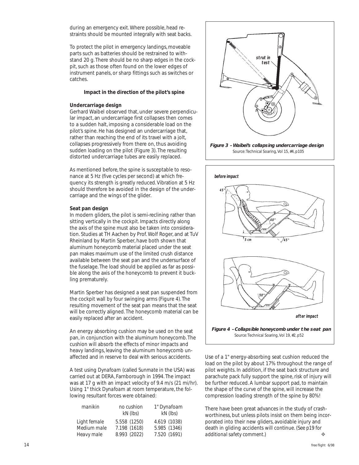during an emergency exit. Where possible, head restraints should be mounted integrally with seat backs.

To protect the pilot in emergency landings, moveable parts such as batteries should be restrained to withstand 20 g. There should be no sharp edges in the cockpit, such as those often found on the lower edges of instrument panels, or sharp fittings such as switches or catches.

### **Impact in the direction of the pilot's spine**

### **Undercarriage design**

Gerhard Waibel observed that, under severe perpendicular impact, an undercarriage first collapses then comes to a sudden halt, imposing a considerable load on the pilot's spine. He has designed an undercarriage that, rather than reaching the end of its travel with a jolt, collapses progressively from there on, thus avoiding sudden loading on the pilot (Figure 3). The resulting distorted undercarriage tubes are easily replaced.

As mentioned before, the spine is susceptable to resonance at 5 Hz (five cycles per second) at which frequency its strength is greatly reduced. Vibration at 5 Hz should therefore be avoided in the design of the undercarriage and the wings of the glider.

### **Seat pan design**

In modern gliders, the pilot is semi-reclining rather than sitting vertically in the cockpit. Impacts directly along the axis of the spine must also be taken into consideration. Studies at TH Aachen by Prof. Wolf Roger, and at TuV Rheinland by Martin Sperber, have both shown that aluminum honeycomb material placed under the seat pan makes maximum use of the limited crush distance available between the seat pan and the undersurface of the fuselage. The load should be applied as far as possible along the axis of the honeycomb to prevent it buckling prematurely.

Martin Sperber has designed a seat pan suspended from the cockpit wall by four swinging arms (Figure 4). The resulting movement of the seat pan means that the seat will be correctly aligned. The honeycomb material can be easily replaced after an accident.

An energy absorbing cushion may be used on the seat pan, in conjunction with the aluminum honeycomb. The cushion will absorb the effects of minor impacts and heavy landings, leaving the aluminum honeycomb unaffected and in reserve to deal with serious accidents.

A test using *Dynafoam* (called *Sunmate* in the USA) was carried out at DERA, Farnborough in 1994. The impact was at 17 g with an impact velocity of 9.4 m/s (21 mi/hr). Using 1" thick *Dynafoam* at room temperature, the following resultant forces were obtained:

| manikin      | no cushion   | 1" Dynafoam  |  |  |
|--------------|--------------|--------------|--|--|
|              | $kN$ (lbs)   | $kN$ (lbs)   |  |  |
| Light female | 5.558 (1250) | 4.619 (1038) |  |  |
| Medium male  | 7.198 (1618) | 5.985 (1346) |  |  |
| Heavy male   | 8.993 (2022) | 7.520 (1691) |  |  |



Source: Technical Soaring, Vol 15, #4, p105



Use of a 1" energy-absorbing seat cushion reduced the load on the pilot by about 17% throughout the range of pilot weights. In addition, if the seat back structure and parachute pack fully support the spine, risk of injury will be further reduced. A lumbar support pad, to maintain the shape of the curve of the spine, will increase the compression loading strength of the spine by 80%!

There have been great advances in the study of crashworthiness, but unless pilots insist on them being incorporated into their new gliders, avoidable injury and death in gliding accidents will continue. *(See p19 for additional safety comment.)* ❖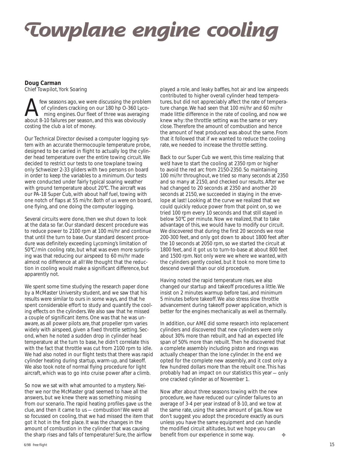# **Towplane engine cooling**

### **Doug Carman**

Chief Towpilot, York Soaring

Few seasons ago, we were discussing the problem<br>of cylinders cracking on our 180 hp 0-360 Lyco-<br>ming engines. Our fleet of three was averaging<br>about 8-10 failures per season and this was obviously of cylinders cracking on our 180 hp O-360 Lyco ming engines. Our fleet of three was averaging about 8-10 failures per season, and this was obviously costing the club a lot of money.

Our Technical Director devised a computer logging system with an accurate thermocouple temperature probe, designed to be carried in flight to actually log the cylinder head temperature over the entire towing circuit. We decided to restrict our tests to one towplane towing only Schweizer 2-33 gliders with two persons on board in order to keep the variables to a minimum. Our tests were conducted under fairly typical soaring weather with ground temperature about 20°C. The aircraft was our PA-18 Super Cub, with about half fuel, towing with one notch of flaps at 55 mi/hr. Both of us were on board, one flying, and one doing the computer logging.

Several circuits were done, then we shut down to look at the data so far. Our standard descent procedure was to reduce power to 2100 rpm at 100 mi/hr and continue that until the turn to base. Our standard descent procedure was definitely exceeding Lycoming's limitation of 50°C/min cooling rate, but what was even more surprising was that reducing our airspeed to 60 mi/hr made almost no difference at all! We thought that the reduction in cooling would make a significant difference, but apparently not.

We spent some time studying the research paper done by a McMaster University student, and we saw that his results were similar to ours in some ways, and that he spent considerable effort to study and quantify the cooling effects on the cylinders. We also saw that he missed a couple of significant items. One was that he was unaware, as all power pilots are, that propeller rpm varies widely with airspeed, given a fixed throttle setting. Second, when he noted a sudden drop in cylinder head temperature at the turn to base, he didn't correlate this with the fact that throttle was cut from 2100 rpm to idle. We had also noted in our flight tests that there was rapid cylinder heating during startup, warm-up, and takeoff. We also took note of normal flying procedure for light aircraft, which was to go into cruise power after a climb.

So now we sat with what amounted to a mystery. Neither we nor the McMaster grad seemed to have all the answers, but we knew there was something missing from our scenario. The rapid heating profiles gave us the clue, and then it came to us — combustion! We were all so focussed on cooling, that we had missed the item that got it hot in the first place. It was the changes in the amount of combustion in the cylinder that was causing the sharp rises and falls of temperature! Sure, the airflow

played a role, and leaky baffles, hot air and low airspeeds contributed to higher overall cylinder head temperatures, but did not appreciably affect the rate of temperature change. We had seen that 100 mi/hr and 60 mi/hr made little difference in the rate of cooling, and now we knew why: the throttle setting was the same or very close. Therefore the amount of combustion and hence the amount of heat produced was about the same. From that it followed that if we wanted to reduce the cooling rate, we needed to increase the throttle setting.

Back to our Super Cub we went, this time realizing that we'd have to start the cooling at 2350 rpm or higher to avoid the red arc from 2150-2350. So maintaining 100 mi/hr throughout, we tried so many seconds at 2350 and so many at 2150, and checked our results. After we had changed to 20 seconds at 2350 and another 20 seconds at 2150, we succeeded in staying in the envelope at last! Looking at the curve we realized that we could quickly reduce power from that point on, so we tried 100 rpm every 10 seconds and that still stayed in below 50°C per minute. Now we realized, that to take advantage of this, we would have to modify our circuit. We discovered that during the first 20 seconds we rose 200-300 feet, and only got down to about 1800 feet after the 10 seconds at 2050 rpm, so we started the circuit at 1800 feet, and it got us to turn-to-base at about 800 feet and 1500 rpm. Not only were we where we wanted, with the cylinders gently cooled, but it took no more time to descend overall than our old procedure.

Having noted the rapid temperature rises, we also changed our startup and takeoff procedures a little. We insist on 2 minutes warmup before taxi, and minimum 5 minutes before takeoff. We also stress slow throttle advancement during takeoff power application, which is better for the engines mechanically as well as thermally.

In addition, our AME did some research into replacement cylinders and discovered that new cylinders were only about 30% more than rebuilt, and had an expected life span of 50% more than rebuilt. Then he discovered that a complete assembly including piston and rings was actually cheaper than the lone cylinder. In the end we opted for the complete new assembly, and it cost only a few hundred dollars more than the rebuilt one. This has probably had an impact on our statistics this year — only one cracked cylinder as of November 1.

Now after about three seasons towing with the new procedure, we have reduced our cylinder failures to an average of 3-4 per year instead of 8-10, and we tow at the same rate, using the same amount of gas. Now we don't suggest you adopt the procedure exactly as ours unless you have the same equipment and can handle the modified circuit altitudes, but we hope you can benefit from our experience in some way. ❖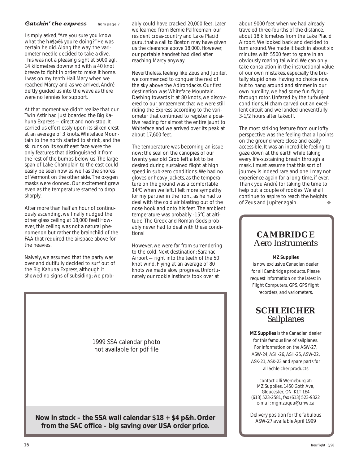### *Catchin' the express* from page 7

I simply asked, "Are you sure you know what the h#\$@% you're doing?" He was certain he did. Along the way, the variometer needle decided to take a dive. This was not a pleasing sight at 5000 agl, 14 kilometres downwind with a 40 knot breeze to fight in order to make it home. I was on my tenth Hail Mary when we reached Marcy and as we arrived, André deftly guided us into the wave as there were no lennies for support.

At that moment we didn't realize that our Twin Astir had just boarded the Big Kahuna Express — direct and non-stop. It carried us effortlessly upon its silken crest at an average of 3 knots. Whiteface Mountain to the north started to shrink, and the ski runs on its southeast face were the only features that distinguished it from the rest of the bumps below us. The large span of Lake Champlain to the east could easily be seen now as well as the shores of Vermont on the other side. The oxygen masks were donned. Our excitement grew even as the temperature started to drop sharply.

After more than half an hour of continuously ascending, we finally nudged the other glass ceiling at 18,000 feet! However, this ceiling was not a natural phenomenon but rather the brainchild of the FAA that required the airspace above for the heavies.

Naively, we assumed that the party was over and dutifully decided to surf out of the Big Kahuna Express, although it showed no signs of subsiding; we probably could have cracked 20,000 feet. Later we learned from Bernie Palfreeman, our resident cross-country and Lake Placid guru, that a call to Boston may have given us the clearance above 18,000. However, our portable handset had died after reaching Marcy anyway.

Nevertheless, feeling like Zeus and Jupiter, we commenced to conquer the rest of the sky above the Adirondacks. Our first destination was Whiteface Mountain. Dashing towards it at 80 knots, we discovered to our amazement that we were still riding the Express according to the variometer that continued to register a positive reading for almost the entire jaunt to Whiteface and we arrived over its peak at about 17,600 feet.

The temperature was becoming an issue now; the seal on the canopies of our twenty year old Grob left a lot to be desired during sustained flight at high speed in sub-zero conditions. We had no gloves or heavy jackets, as the temperature on the ground was a comfortable 14°C when we left. I felt more sympathy for my partner in the front, as he had to deal with the cold air blasting out of the nose hook and onto his feet. The ambient temperature was probably -15°C at altitude. The Greek and Roman Gods probably never had to deal with these conditions!

However, we were far from surrendering to the cold. Next destination: Saranac Airport — right into the teeth of the 50 knot wind. Flying at an average of 80 knots we made slow progress. Unfortunately our rookie instincts took over at



about 9000 feet when we had already traveled three-fourths of the distance, about 18 kilometres from the Lake Placid Airport. We looked back and decided to turn around. We made it back in about six minutes with 5500 feet to spare in an obviously roaring tailwind. We can only take consolation in the instructional value of our own mistakes, especially the brutally stupid ones. Having no choice now but to hang around and simmer in our own humility, we had some fun flying through rotor. Unfazed by the turbulent conditions, Hicham carved out an excellent circuit and we landed uneventfully 3-1/2 hours after takeoff.

The most striking feature from our lofty perspective was the feeling that all points on the ground were close and easily accessible. It was an incredible feeling to gaze down at the earth while taking every life-sustaining breath through a mask. I must assume that this sort of journey is indeed rare and one I may not experience again for a long time, if ever. Thank you André for taking the time to help out a couple of rookies. We shall continue to aspire to reach the heights of Zeus and Jupiter again.

### **CAMBRIDGE** Aero Instruments

**MZ Supplies**

is now exclusive Canadian dealer for all Cambridge products. Please request information on the latest in Flight Computers, GPS, GPS flight recorders, and variometers.

### **SCHLEICHER** Sailplanes

**MZ Supplies** is the Canadian dealer for this famous line of sailplanes. For information on the ASW-27, ASW-24, ASH-26, ASH-25, ASW-22, ASK-21, ASK-23 and spare parts for all Schleicher products.

contact Ulli Werneburg at: MZ Supplies, 1450 Goth Ave, Gloucester, ON K1T 1E4 (613) 523-2581, fax (613) 523-9322 *e-mail: mgmzaqua@cmw.ca*

*Delivery position for the fabulous ASW-27 available April 1999*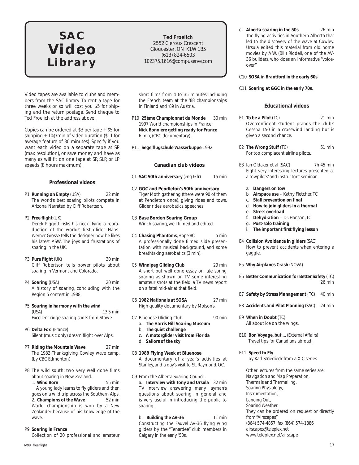### **SAC Video Library**

**Ted Froelich** 2552 Cleroux Crescent Gloucester, ON K1W 1B5 (613) 824-6503 *102375.1616@compuserve.com*

Video tapes are available to clubs and members from the SAC library. To rent a tape for three weeks or so will cost you \$5 for shiping and the return postage. Send cheque to Ted Froelich at the address above.

Copies can be ordered at \$3 per tape + \$5 for shipping + 10¢/min of video duration (\$11 for average feature of 30 minutes). Specify if you want each video on a separate tape at SP (max resolution), or save money and have as many as will fit on one tape at SP, SLP, or LP speeds (8 hours maximum).

### **Professional videos**

- P1 *Running on Empty (USA)* 22 min The world's best soaring pilots compete in Arizona. Narrated by Cliff Robertson.
- P2 *Free flight (UK)*

Derek Piggott risks his neck flying a reproduction of the world's first glider. Hans-Werner Grosse tells the designer how he likes his latest ASW. The joys and frustrations of soaring in the UK.

- P3 **Pure flight** *(UK)* 30 min Cliff Robertson tells power pilots about soaring in Vermont and Colorado.
- P4 *Soaring (USA)* 20 min A history of soaring, concluding with the Region 5 contest in 1988.
- P5 *Soaring in harmony with the wind (USA)* 13.5 min Excellent ridge soaring shots from Stowe.
- P6 *Delta Fox (France)* Silent (music only) dream flight over Alps.
- P7 *Riding the Mountain Wave* 27 min The 1982 Thanksgiving Cowley wave camp. (by CBC Edmonton)
- P8 The wild south: two very well done films about soaring in New Zealand.

1. *Wind Born* 55 min A young lady learns to fly gliders and then goes on a wild trip across the Southern Alps. 2. *Champions of the Wave* 52 min World championship is won by a New Zealander because of his knowledge of the wave.

### P9 *Soaring in France*

Collection of 20 professional and amateur

short films from 4 to 35 minutes including the French team at the '88 championships in Finland and '89 in Austria.

- P10 *25ème Championnat du Monde* 30 min 1997 World championships in France *Nick Bonnière getting ready for France* 6 min, (CBC documentary).
- P11 *Segelflugschule Wasserkuppe* 1992

### **Canadian club videos**

- *C1 SAC 50th anniversary (eng & fr)* 15 min
- C2 **GGC and Pendleton's 50th anniversary** Tiger Moth gathering (there were 90 of them at Pendleton once), giving rides and tows. Glider rides, aerobatics, speeches.
- C3 **Base Borden Soaring Group** Winch soaring, well filmed and edited.
- *C4 Chasing Phantoms, Hope BC* 5 min A professionally done filmed slide presentation with musical background, and some breathtaking aerobatics (3 min).
- *C5 Winnipeg Gliding Club* 29 min A short but well done essay on late spring soaring as shown on TV, some interesting amateur shots at the field, a TV news report on a fatal mid-air at that field.
- C6 *1982 Nationals at SOSA* 27 min High quality documentary by Molson's.
- C7 Bluenose Gliding Club 90 min
	- a. *The Harris Hill Soaring Museum*
	- b. *The quiet challenge*
	- c. *A motorglider visit from Florida*
	- d. *Sailors of the sky*
- C8 **1989 Flying Week at Bluenose**

A documentary of a year's activities at Stanley, and a day's visit to St. Raymond, QC.

C9 From the Alberta Soaring Council: a. *Interview with Tony and Ursula* 32 min TV interview answering many layman's questions about soaring in general and is very useful in introducing the public to soaring.

b. **Building the AV-36** 11 min Constructing the Fauvel AV-36 flying wing gliders by the "Tenardee" club members in Calgary in the early '50s.

c. *Alberta soaring in the 50s* 26 min The flying activities in Southern Alberta that led to the discovery of the wave at Cowley. Ursula edited this material from old home movies by A.W. (Bill) Riddell, one of the AV-36 builders, who does an informative "voiceover".

C10 *SOSA in Brantford in the early 60s.*

C11 *Soaring at GGC in the early 70s.*

### **Educational videos**

- E1 *To be a Pilot (TC)* 21 min Overconfident student prangs the club's Cessna 150 in a crosswind landing but is given a second chance.
- E2 *The Wrong Stuff (TC)* 51 min For too complacent airline pilots.
- E3 Ian Oldaker et al (SAC) 7h 45 min Eight very interesting lectures presented at a towpilots' and instructors' seminar.
	- a. *Dangers on tow*
	- b. *Airspace use* Kathy Fletcher, TC
	- c. *Stall prevention on final*
	- d. *How to join gliders in a thermal*
- e. *Stress overload*
- f. *Dehydration* Dr. Hanson, TC
- g. *Post-solo training*
- i. *The important first flying lesson*
- E4 *Collision Avoidance in gliders (SAC)* How to prevent accidents when entering a gaggle.
- E5 *Why Airplanes Crash (NOVA)*
- E6 *Better Communication for Better Safety* (TC) 26 min
- E7 *Safety by Stress Management (TC)* 40 min
- E8 *Accidents and Pilot Planning (SAC)* 24 min
- E9 *When in Doubt (TC)* All about ice on the wings.
- E10 *Bon Voyage, but ... (External Affairs)* Travel tips for Canadians abroad.
- E11 *Speed to Fly*

by Karl Striedieck from a X-C series

Other lectures from the same series are: *Navigation and Map Preparation, Thermals and Thermalling, Soaring Physiology, Instrumentation, Landing Out, Soaring Weather*. They can be ordered on request or directly from "Airscapes", (864) 574-4857, fax (864) 574-1886 *airscapes@teleplex.net* www.teleplex.net/airscape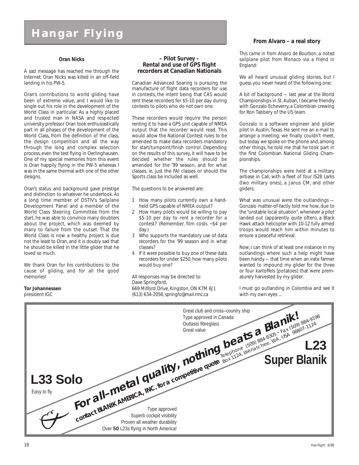### **Hangar Flying**

### **Oran Nicks**

A sad message has reached me through the Internet: Oran Nicks was killed in an off-field landing in his PW-5.

Oran's contributions to world gliding have been of extreme value, and I would like to single out his role in the development of the World Class in particular. As a highly placed and trusted man in NASA and respected university professor Oran took enthusiastically part in all phases of the development of the World Class, from the definition of the class, the design competition and all the way through the long and complex selection process, even the test flying in Oerlinghausen. One of my special memories from this event is Oran happily flying in the PW-5 whereas I was in the same thermal with one of the other designs.

Oran's status and background gave prestige and distinction to whatever he undertook. As a long time member of OSTIV's Sailplane Development Panel and a member of the World Class Steering Committee from the start, he was able to convince many doubters about the project, which was deemed by many to failure from the outset. That the World Class is now a healthy project is due not the least to Oran, and it is doubly sad that he should be killed in the little glider that he loved so much.

We thank Oran for his contributions to the cause of gliding, and for all the good memories!

### **Tor Johannessen**

president IGC

### **– Pilot Survey – Rental and use of GPS flight recorders at Canadian Nationals**

Canadian Advanced Soaring is pursuing the manufacture of flight data recorders for use in contests, the intent being that CAS would rent these recorders for \$5-10 per day during contests to pilots who do not own one.

These recorders would require the person renting it to have a GPS unit capable of NMEA output that the recorder would read. This would allow the National Contest rules to be amended to make data recorders mandatory for start/turnpoint/finish control. Depending on the results of this survey, it will have to be decided whether the rules should be amended for the '99 season, and for what classes, ie, just the FAI classes or should the Sports class be included as well.

The questions to be answered are:

- 1 How many pilots currently own a handheld GPS capable of NMEA output?
- 2 How many pilots would be willing to pay \$5-10 per day to rent a recorder for a contest? (Remember, film costs ~\$4 per day.)
- 3 Who supports the mandatory use of data recorders for the '99 season and in what classes?
- 4 If it were possible to buy one of these data recorders for under \$250, how many pilots would buy one?

All responses may be directed to: Dave Springford, 669 Milford Drive, Kingston, ON K7M 6J1 (613) 634-2056, *springfo@mail.rmc.ca* with my own eyes ...

### **From Alvaro – a real story**

*This came in from Alvaro de Bourbon, a noted sailplane pilot from Monaco via a friend in England:*

We all heard unusual gliding stories, but I guess you never heard of the following one:

A bit of background — last year at the World Championships in St. Auban, I became friendly with Gonzalo Echeverry, a Colombian crewing for Ron Tabbery of the US team.

Gonzalo is a software engineer and glider pilot in Austin, Texas. He sent me an e-mail to arrange a meeting; we finally couldn't meet, but today we spoke on the phone and, among other things, he told me that he took part in the first Colombian National Gliding Championships.

The championships were held at a military airbase in Cali, with a fleet of four IS28 Larks (two military ones), a Janus CM, and other gliders.

What was unusual were the outlandings — Gonzalo matter-of-factly told me how, due to the "unstable local situation", whenever a pilot landed out (apparently quite often), a Black Hawk attack helicopter with 10-12 fully armed troops would reach him within minutes to ensure a peaceful retrieval.

Now, I can think of at least one instance in my outlandings where such a help might have been handy — that time when an irate farmer wanted to impound my glider for the three or four kartoffels [potatoes] that were prematurely harvested by my glider.

I must go outlanding in Colombia and see it

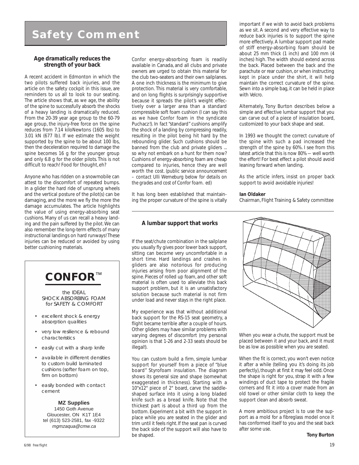### **Safety Comment**

### **Age dramatically reduces the strength of your back**

A recent accident in Edmonton in which the two pilots suffered back injuries, and the article on the safety cockpit in this issue, are reminders to us all to look to our seating. The article shows that, as we age, the ability of the spine to successfully absorb the shocks of a heavy landing is dramatically reduced. From the 20-39 year age group to the 60-79 age group, the injury-free force on the spine reduces from 7.14 kiloNewtons (1605 lbs) to 3.01 kN (677 lb). If we estimate the weight supported by the spine to be about 100 lbs, then the deceleration required to damage the spine becomes 16 g for the younger group and only 6.8 g for the older pilots. This is not difficult to reach! Food for thought, eh?

Anyone who has ridden on a snowmobile can attest to the discomfort of repeated bumps. In a glider the hard ride of unsprung wheels and the vertical posture of the pilot(s) can be damaging, and the more we fly the more the damage accumulates. The article highlights the value of using energy-absorbing seat cushions. Many of us can recall a heavy landing and the pain suffered by the pilot. We can also remember the long-term effects of many instructional landings on hard runways! These injuries can be reduced or avoided by using better cushioning materials.



- excellent shock & energy absorption qualities
- very low resilience & rebound characteristics
- easily cut with a sharp knife
- available in different densities to custom build laminated cushions (softer foam on top, firm on bottom)
- easily bonded with contact cement

**MZ Supplies** 1450 Goth Avenue Gloucester, ON K1T 1E4 tel (613) 523-2581, fax -9322 mgmzaqua@cmw.ca

*Confor* energy-absorbing foam is readily available in Canada, and all clubs and private owners are urged to obtain this material for the club two-seaters and their own sailplanes. A one inch thickness is the minimum to give protection. This material is very comfortable, and on long flights is surprisingly supportive because it spreads the pilot's weight effectively over a larger area than a standard compressible soft foam cushion (I can say this as we have *Confor* foam in the syndicate Puchacz!). In fact "standard" cushions amplify the shock of a landing by compressing readily, resulting in the pilot being hit hard by the rebounding glider. Such cushions should be banned from the club and private gliders ... so why not embark on a hunt for them now? Cushions of energy-absorbing foam are cheap compared to injuries, hence they are well worth the cost. *(public service announcement – contact Ulli Werneburg below for details on the grades and cost of Confor foam. ed)*

It has long been established that maintaining the proper curvature of the spine is vitally

### **A lumbar support that works**

If the seat/chute combination in the sailplane you usually fly gives poor lower back support, sitting can become very uncomfortable in a short time. Hard landings and crashes in gliders are also notorious for producing injuries arising from poor alignment of the spine. Pieces of rolled up foam, and other soft material is often used to alleviate this back support problem, but it is an unsatisfactory solution because such material is not firm under load and never stays in the right place.

My experience was that without additional back support for the RS-15 seat geometry, a flight became terrible after a couple of hours. Other gliders may have similar problems with varying degrees of discomfort (my personal opinion is that 1-26 and 2-33 seats should be illegal!).

You can custom build a firm, simple lumbar support for yourself from a piece of "blue board" Styrofoam insulation. The diagram shows its general size and shape (somewhat exaggerated in thickness). Starting with a 10"x12" piece of 2" board, carve the saddleshaped surface into it using a long bladed knife such as a bread knife. Note that the thickest part is about a third up from the bottom. Experiment a bit with the support in place while you are seated in the glider and trim until it feels right. If the seat pan is curved the back side of the support will also have to be shaped.

important if we wish to avoid back problems as we sit. A second and very effective way to reduce back injuries is to support the spine more effectively. A lumbar support pad made of stiff energy-absorbing foam should be about 25 mm thick (1 inch) and 100 mm (4 inches) high. The width should extend across the back. Placed between the back and the parachute or rear cushion, or when instructing kept in place under the shirt, it will help maintain the correct curvature of the spine. Sewn into a simple bag, it can be held in place with *Velcro*.

Alternately, Tony Burton describes below a simple and effective lumbar support that you can carve out of a piece of insulation board, customized to your back shape and seat.

In 1993 we thought the correct curvature of the spine with such a pad increased the strength of the spine by 60%. I see from this latest article that this is now 80% — well worth the effort! For best effect a pilot should avoid leaning forward when landing.

As the article infers, insist on proper back support to avoid avoidable injuries!

### **Ian Oldaker**

Chairman, Flight Training & Safety committee



When you wear a chute, the support must be placed between it and your back, and it must be as low as possible when you are seated.

When the fit is correct, you won't even notice it after a while (telling you it's doing its job perfectly), though at first it may feel odd. Once the shape is right for you, strap it with a few windings of duct tape to protect the fragile corners and fit it into a cover made from an old towel or other similar cloth to keep the support clean and absorb sweat.

A more ambitious project is to use the support as a mold for a fibreglass model once it has conformed itself to you and the seat back after some use.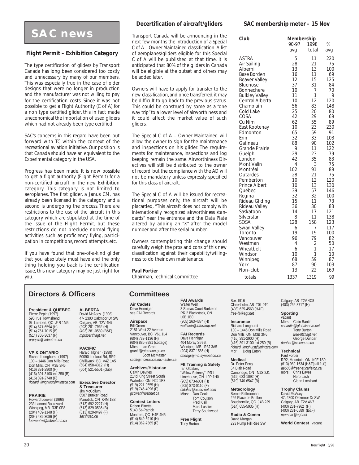### **SAC news**

### **Flight Permit – Exhibition Category**

The type certification of gliders by Transport Canada has long been considered too costly and unnecessary by many of our members. This was especially true in the case of older designs that were no longer in production and the manufacturer was not willing to pay for the certification costs. Since it was not possible to get a Flight Authority (C of A) for a non type certified glider, this in fact made uneconomical the importation of used gliders which had not already been type certified.

SAC's concerns in this regard have been put forward with TC within the context of the recreational aviation initiative. Our position is that Canada should have an equivalent to the Experimental category in the USA.

Progress has been made. It is now possible to get a flight authority (Flight Permit) for a non-certified aircraft in the new Exhibition category. This category is not limited to aeroplanes. The first glider, a Janus CM, has already been licensed in the category and a second is undergoing the process. There are restrictions to the use of the aircraft in this category which are stipulated at the time of the issue of the Flight Permit, but these restrictions do not preclude normal flying activities such as proficiency flying, participation in competitions, record attempts, etc.

If you have found that one-of-a-kind glider that you absolutely must have and the only thing holding you back is the certification issue, this new category may be just right for you.

### **Decertification of aircraft/gliders**

Transport Canada will be announcing in the next few months the introduction of a *Special C of A – Owner Maintained* classification. A list of aeroplanes/gliders eligible for this Special C of A will be published at that time. It is anticipated that 80% of the gliders in Canada will be eligible at the outset and others may be added later.

Owners will have to apply for transfer to the new classification, and once transferred, it may be difficult to go back to the previous status. This could be construed by some as a "one way trip" to a lower level of airworthiness and it could affect the market value of such gliders.

The Special C of A – Owner Maintained will allow the owner to sign for the maintenance and inspections on his glider. The requirements for maintenance, inspections and log keeping remain the same. Airworthiness Directives will still be distributed to the owner of record, but the compliance with the AD will not be mandatory unless expressly specified for this class of aircraft.

The Special C of A will be issued for recreational purposes only, the aircraft will be placarded, *"This aircraft does not comply with internationally recognized airworthiness standards"* near the entrance and the Data Plate altered by adding an "X" after the model number and after the serial number.

Owners contemplating this change should carefully weigh the pros and cons of this new classification against their capability/willingness to do their own maintenance.

### **Paul Fortier**

Chairman, Technical Committee

### **Directors & Officers**

**President & QUEBEC** Pierre Pepin (1997) 590 rue Townshend St–Lambert, QC J4R 1M5 (514) 671-6594 (H) (514) 761-7015 (B) (514) 768-3637 (F) *prpepin@videotron.ca*

**VP & ONTARIO** Richard Longhurst (1997) 100 – 1446 Don Mills Road Don Mills, ON M3B 3N6

(416) 391-2900 (H) (416) 391-3100 ext 250 (B) (416) 391-2748 (F) *richard\_longhurst@mintzca.com*

### **PRAIRIE**

Howard Loewen (1998) 233 Lamont Boulevard Winnipeg, MB R3P 0E8 (204) 489-1148 (H) (204) 489-3086 (F) *loewenhw@mbnet.mb.ca* **ALBERTA** David McAsey (1998) 47- 2300 Oakmoor Dr SW Calgary, AB T2V 4N7 (403) 281-7962 (H) (403) 281-0589 (B&F) *mprsoar@agt.net*

**PACIFIC** Harald Tilgner (1998) 50090 Lookout Rd, RR2 Chilliwack, BC V4Z 1A5 (604) 858-4312 (H) (604) 521-5501 (club)

**Executive Director & Treasurer** Jim McCollum 6507 Bunker Road Manotick, ON K4M 1B3 (613) 692-2227 (H) (613) 829-0536 (B) (613) 829-9497 (F) *sac@sac.ca*

### **Committees**

**Air Cadets** Dave Hennigar see FAI Records

### **Airspace**

Bill Green 2181 West 22 Avenue Vancouver, BC V6L 1L4 (604) 737-1136 (H) (604) 886-8981 (cottage)<br>Mbrs: lan Grant lan Grant *grant.i@atomcon.gc.ca* Scott McMaster

*scott@mcmail.cis.mcmaster.ca* **Archives/Historian** Calvin Devries

214d King Street South Waterloo, ON N2J 1R3 (519) 221-0555 (H) (519) 746-4096 (F) *gccwat@webnet.ca*

**Contest Letters** Robert Binette 5140 St–Patrick Montreal, QC H4E 4N5  $(514)$  849-5910 (H)  $(514)$  362-7365 (F)

**FAI Awards** Walter Weir 3 Sumac Court Burketon RR 2 Blackstock, ON L0B 1B0 (905) 263-4374 (H) *waltweir@inforamp.net*

Box 1916

Claresholm, AB TOL 0TO (403) 625-4563 (H&F) *free-flt@agt.net* **Insurance** Richard Longhurst 100 – 1446 Don Mills Road Don Mills, ON M3B 3N6 (416) 391-2900 (H) (416) 391-3100 ext 250 (B) *richard\_longhurst@mintzca.com* Mbr: Doug Eaton **Medical** Dr. Peter Perry 64 Blair Road Cambridge, ON N1S 2J1 (519) 623-1092 (H) (519) 740-6547 (B) **Meteorology** Bernie Palfreeman 266 Place de Brullon Boucherville, QC J4B 2J9 (514) 655-5935 (H) **Radio & Comm** David Morgan 223 Pump Hill Rise SW

### **FAI Records** Dave Hennigar 404 Moray Street Winnipeg, MB R3J 3A5 (204) 837-1585 (H) *dhengr@mb.sympatico.ca*

**Flt Training & Safety**

Ian Oldaker, "Willow Spinney", RR1 Limehouse, ON L0P 1H0 (905) 873-6081 (H) (905) 873-0110 (F) *oldaker@aztec-net.com* Mbrs: Dan Cook Tom Coulson Fred Kisil Marc Lussier Terry Southwood

**Free Flight** Tony Burton

### **SAC membership meter – 15 Nov**

| Club                                                                                                                                                                                                                                                                                                                                                                                                                                                                                                         | Membership<br>90-97                                                                                                                                                                                                   | %                                                                                                                                                                                                                                          |                                                                                                                                                                                                                                             |
|--------------------------------------------------------------------------------------------------------------------------------------------------------------------------------------------------------------------------------------------------------------------------------------------------------------------------------------------------------------------------------------------------------------------------------------------------------------------------------------------------------------|-----------------------------------------------------------------------------------------------------------------------------------------------------------------------------------------------------------------------|--------------------------------------------------------------------------------------------------------------------------------------------------------------------------------------------------------------------------------------------|---------------------------------------------------------------------------------------------------------------------------------------------------------------------------------------------------------------------------------------------|
|                                                                                                                                                                                                                                                                                                                                                                                                                                                                                                              | avq                                                                                                                                                                                                                   | total                                                                                                                                                                                                                                      | avg                                                                                                                                                                                                                                         |
| ASTRA<br>Air Sailing<br>Alberni<br>Base Borden<br>Beaver Valley<br><b>Bluenose</b><br>Bonnechere<br><b>Bulkley Valley</b><br>Central Alberta<br>Champlain<br>Cold Lake<br>COSA<br>Cu Nim<br>East Kootenay<br>Edmonton<br>Erin<br>Gatineau<br>Grande Prairie<br>Guelph<br>London<br>Mont Valin<br>Montréal<br>Outardes<br>Pemberton<br>Prince Albert<br>Québec<br>Regina<br>Rideau Gliding<br>Rideau Valley<br>Saskatoon<br>Silverstar<br>SOSA<br>Swan Valley<br>Toronto<br>Vancouver<br>Westman<br>Wheatbelt | 5<br>28<br>13<br>16<br>12<br>37<br>10<br>11<br>10<br>56<br>25<br>42<br>62<br>10<br>65<br>32<br>88<br>9<br>29<br>42<br>4<br>102<br>28<br>10<br>10<br>39<br>32<br>15<br>36<br>14<br>8<br>128<br>6<br>19<br>96<br>4<br>6 | 1998<br>11<br>21<br>13<br>11<br>15<br>31<br>7<br>1<br>12<br>83<br>20<br>29<br>55<br>23<br>59<br>33<br>90<br>11<br>23<br>35<br>3<br>91<br>21<br>12<br>13<br>57<br>32<br>11<br>30<br>17<br>11<br>158<br>7<br>19<br>79<br>$\overline{2}$<br>1 | 220<br>75<br>100<br>69<br>125<br>84<br>70<br>9<br>120<br>148<br>80<br>69<br>89<br>230<br>91<br>103<br>102<br>122<br>79<br>83<br>75<br>89<br>75<br>120<br>130<br>146<br>100<br>73<br>83<br>121<br>138<br>123<br>117<br>100<br>82<br>50<br>17 |
| Windsor<br>Winnipeg                                                                                                                                                                                                                                                                                                                                                                                                                                                                                          | 10<br>68                                                                                                                                                                                                              | 1<br>59                                                                                                                                                                                                                                    | 10<br>87                                                                                                                                                                                                                                    |
| York                                                                                                                                                                                                                                                                                                                                                                                                                                                                                                         | 87                                                                                                                                                                                                                    | 90                                                                                                                                                                                                                                         | 103                                                                                                                                                                                                                                         |
| Non-club                                                                                                                                                                                                                                                                                                                                                                                                                                                                                                     | 13                                                                                                                                                                                                                    | 22                                                                                                                                                                                                                                         | 169                                                                                                                                                                                                                                         |
| totals                                                                                                                                                                                                                                                                                                                                                                                                                                                                                                       | 1337                                                                                                                                                                                                                  | 1319                                                                                                                                                                                                                                       | 99                                                                                                                                                                                                                                          |

Calgary, AB T2V 4C8 (403) 252-3717 (H)

**Sporting**

vacant Mbrs: Colin Bantin *ccbantin@globalserve.net* **Tony Burton** *free-flt@agt.net* George Dunbar *dunbar@calcna.ab.ca*

**Technical**

Paul Fortier RR2, Mountain, ON K0E 1S0 (613) 989-1634 (H&F[call 1st]) *ae605@freenet.carleton.ca* mbrs: Chris Eaves Herb Lach Glenn Lockhard

**Trophy Claims**

David McAsey 47, 2300 Oakmoor Dr SW Calgary, AB T2V 4N7 (403) 281-7962 (H) (403) 281-0589 (B&F) *mprsoar@agt.net*

**World Contest** vacant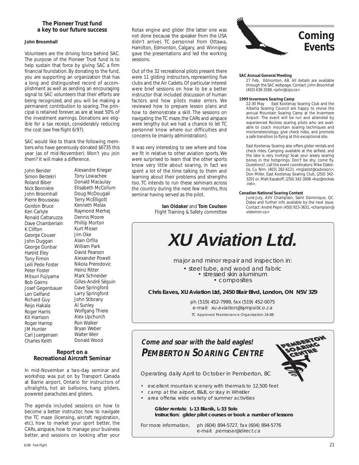### **The Pioneer Trust fund a key to our future success**

### **John Broomhall**

Volunteers are the driving force behind SAC. The purpose of the Pioneer Trust fund is to help sustain that force by giving SAC a firm financial foundation. By donating to the fund, you are supporting an organization that has a long and distinguished record of accomplishment as well as sending an encouraging signal to SAC volunteers that their efforts are being recognized, and you will be making a permanent contribution to soaring. The principal is retained forever, as are at least 50% of the investment earnings. Donations are eligible for a tax receipt, considerably reducing the cost (see *free flight* 6/97).

SAC would like to thank the following members who have generously donated \$6735 this year (as of mid-November). Won't you join them? It will make a difference.

John Bender Simon Berzekri Roland Biber Nick Bonnière John Broomhall Pierre Brousseau Gordon Bruce Ken Carlyle Ronald Cattaruzza Dave Chamberlain K Clifton George Couser John Duggan George Dunbar Harold Eley Tony Firmin Leili Pede Foster Peter Foster Mitsuri Fujiyama Bob Gairns Josef Gegenbauer Len Gelfand Richard Guy Reijo Hakala Roger Harris Kit Harrison Roger Harrop JM Hunter Carl Juergensen Charles Keith

Alexandre Krieger Tony Lowachee Donald Macaulay Elisabeth McCollum Doug McDougall Terry McElligott Kenneth Melax Raymond Merhej Dennis Moore Phillip Morton Kurt Moser Jim Oke Alain Orfila William Park David Pearson Alexander Powell Nikola Prerodovic Heinz Ritter Mark Schneider Gilles-André Séguin Dave Springford Larry Springford John Stibrany Al Sunley Wolfgang Thiele Alex Upchurch Ron Walker Bryan Weber Walter Weir Donald Wood

### **Recreational Aircraft Seminar**

In mid-November a two-day seminar and workshop was put on by Transport Canada at Barrie airport, Ontario for instructors of ultralights, hot air balloons, hang gliders, powered parachutes and gliders.

The agenda included sessions on how to become a better instructor, how to navigate the TC maze (licensing, aircraft registration, etc), how to market your sport better, the CARs, airspace, how to manage your business better, and sessions on looking after your

Rotax engine and glider (the latter one was not done because the speaker from the USA didn't arrive). TC personnel from Ottawa, Hamilton, Edmonton, Calgary, and Winnipeg gave the presentations and led the working sessions.

Out of the 32 recreational pilots present there were 11 gliding instructors, representing five clubs and the Air Cadets. Of particular interest were brief sessions on how to be a better instructor that included discussion of human factors and how pilots make errors. We reviewed how to prepare lesson plans and how to demonstrate a skill. The sessions on navigating the TC maze, the CARs and airspace were lengthy but we had a chance to let TC personnel know where our difficulties and concerns lie (mainly administration).

It was very interesting to see where and how we fit in relative to other aviation sports. We were surprised to learn that the other sports know very little about soaring, in fact we spent a lot of the time talking to them and learning about their problems and strengths too. TC intends to run these seminars across the country during the next few months, this seminar having served as the pilot.

> **Ian Oldaker** and **Tom Coulson** Flight Training & Safety committee



### **SAC Annual General Meeting**

27 Feb, Edmonton, AB. All details are available through the SAC webpage. Contact: John Broomhall (403) 438-3268, *<john@cips.ca>*

### **1999 Invermere Soaring Camp**<br>22-30 May East Kootena

East Kootenay Soaring Club and the Alberta Soaring Council are happy to revive the annual Mountain Soaring Camp at the Invermere Airport. The event will be run and attended by experienced Rockies soaring pilots who are available to coach mountain soaring techniques and micrometeorology, give check rides, and promote a safe transition to flying at this exceptional site.

East Kootenay Soaring also offers glider rentals and check rides. Camping available at the airfield, and the lake is very inviting! Soak your weary soaring bones in the hotsprings. Don't be shy, come fly. Questions?, call the event coordinators: Mike Glatio-tis, Cu Nim, (403) 282-6121 *<mglatiot@cadvision>*; Don Miller, East Kootenay Soaring Club, (250) 342- 3201 or, Matt Kazakoff, (250) 342-3006 <*kaz@rockies .net>*.

### **Canadian National Soaring Contest**

June-July, AVV Champlain, Saint Dominique, QC. Dates and further info available by the next issue. Contact: André Pepin (450) 923-3631, *<champlain@ videotron.ca>*



**Chris Eaves, XU Aviation Ltd, 2450 Blair Blvd, London, ON N5V 3Z9**

ph (519) 452-7999, fax (519) 452-0075 e-mail: xu-aviation@sympatico.ca TC Approved Maintenance Organization 24-88

### **Come and soar with the bald eagles! PEMBERTON SOARING CENTRE Report on a**



- excellent mountain scenery with thermals to 12,500 feet
- camp at the airport, B&B, or stay in Whistler
- area offersa wide variety of summer activities

**Glider rentals: L-13 Blanik, L-33 Solo Instruction: glider pilot courses or book a number of lessons**

For more information, ph (604) 894-5727, fax (604) 894-5776 e-mail: pemsoar@direct.ca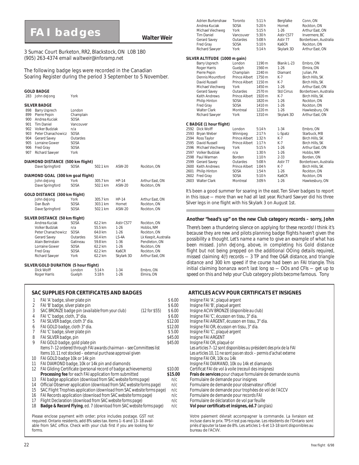### **Walter Weir FAI badges**

3 Sumac Court Burketon, RR2, Blackstock, ON L0B 1B0 (905) 263-4374 email *waltweir@inforamp.net*

The following badge legs were recorded in the Canadian Soaring Register during the period 3 September to 5 November.

### **GOLD BADGE**

|     | 283 John deJong                   | York        |          |              |                      |
|-----|-----------------------------------|-------------|----------|--------------|----------------------|
|     | <b>SILVER BADGE</b>               |             |          |              |                      |
| 898 | <b>Barry Usprech</b>              | London      |          |              |                      |
| 899 | Pierre Pepin                      | Champlain   |          |              |                      |
| 900 | Andrea Kuciak                     | <b>SOSA</b> |          |              |                      |
| 901 | <b>Tim Daniel</b>                 | Vancouver   |          |              |                      |
| 902 | <b>Volker Budziak</b>             | n/a         |          |              |                      |
| 903 | Peter Chanachowicz                | SOSA        |          |              |                      |
| 904 | Gerard Savey                      | Outardes    |          |              |                      |
| 905 | Lorraine Gower                    | SOSA        |          |              |                      |
| 906 | Fred Gray                         | <b>SOSA</b> |          |              |                      |
| 907 | Richard Sawyer                    | York        |          |              |                      |
|     | DIAMOND DISTANCE (500 km flight)  |             |          |              |                      |
|     | Dave Springford                   | SOSA        | 502.1 km | ASW-20       | Rockton, ON          |
|     | DIAMOND GOAL (300 km goal flight) |             |          |              |                      |
|     | John deJong                       | York        | 305.7 km | <b>HP-14</b> | Arthur East, ON      |
|     | Dave Springford                   | SOSA        | 502.1 km | ASW-20       | Rockton, ON          |
|     | GOLD DISTANCE (300 km flight)     |             |          |              |                      |
|     | John deJong                       | York        | 305.7 km | <b>HP-14</b> | Arthur East, ON      |
|     | Dan Bush                          | SOSA        | 303.1 km | Hornet       | Rockton, ON          |
|     | Dave Springford                   | SOSA        | 502.1 km | ASW-20       | Rockton, ON          |
|     | SILVER DISTANCE (50 km flight)    |             |          |              |                      |
|     | Andrea Kuciak                     | <b>SOSA</b> | 62.2 km  | Astir CS77   | Rockton, ON          |
|     | <b>Volker Budziak</b>             | n/a         | 55.5 km  | $1-26$       | Hobbs, NM            |
|     | Peter Chanachowicz                | SOSA        | 64.0 km  | $1 - 26$     | Rockton, ON          |
|     | Gerard Savey                      | Outardes    | 50.4 km  | $LS-4A$      | Lk Keepit, Australia |
|     | Alain Berinstain                  | Gatineau    | 59.8 km  | $1 - 36$     | Pendleton, ON        |
|     | Lorraine Gower                    | SOSA        | 62.2 km  | $1-26$       | Rockton, ON          |
|     | Fred Gray                         | SOSA        | 62.2 km  | Ka6CR        | Rockton, ON          |
|     | Richard Sawyer                    | York        | 62.2 km  | Skylark 3D   | Arthur East, ON      |
|     |                                   |             |          |              |                      |

### **SILVER/GOLD DURATION (5 hour flight)**

|              |        | . .    |          |            |
|--------------|--------|--------|----------|------------|
| Dick Wolff   | London | 5:14 h | $1 - 34$ | Embro, ON  |
| Roger Harris | Guelph | 5:18h  | $1-26$   | Elmira, ON |
|              |        |        |          |            |

### Please enclose payment with order; price includes postage. GST not required. Ontario residents, add 8% sales tax. Items 1–6 and 13–18 available from SAC office. Check with your club first if you are looking for **SAC SUPPLIES FOR CERTIFICATES AND BADGES ARTICLES ACVV POUR CERTIFICATS ET INSIGNES** 1 FAI 'A' badge, silver plate pin \$ 6.00 Insigne FAI 'A', plaqué argent 2 FAI 'B' badge, silver plate pin<br>3 SAC BRONZE badge pin *(available from your club)* (12 for \$55) \$ 6.00 Insigne ACVV BRONZE *(disponible au club)* \$ SAC BRONZE badge pin *(available from your club)* (12 for \$55) \$ 6.00 FAI 'C' badge, cloth, 3" dia. 4 FAI 'C' badge, cloth, 3" dia. \$ 6.00 Insigne FAI 'C', écusson en tissu, 3" dia. 5 FAI SILVER badge, cloth 3" dia. \$12.00 Insigne FAI ARGENT, écusson en tissu, 3" dia. 6 FAI GOLD badge, cloth 3" dia.<br>6 FAI 'C' badge, silver plate pin the state of the state of the state of the state of the state of the state o<br>5 5.00 Insigne FAI 'C', plaqué argent 8 FAI SILVER badge, pin and the state of the state of the state of the state of the state of the state of the state of the state of the state of the state of the state of the state of the state of the state of the state of 9 FAI GOLD badge, gold plate pin<br>Items 7-12 ordered through FAI awards chairman - see Committees list Les articles 7-12 sont disponibles au président des prix de la FAI *Items 7–12 ordered through FAI awards chairman – see Committees list Items 10, 11 not stocked – external purchase approval given Les articles 10, 11 ne sont pas en stock – permis d'achat externe* 10 FAI GOLD badge 10k or 14k pin 11 FAI DIAMOND badge, 10k or 14k pin and diamonds Insigne FAI DIAMAND, 10k ou 14k et diamands<br>12 FAI Gliding Certificate (personal record of badge achievements) \$10.00 Certificat FAI de vol à voile (receuil des insignes) 12 FAI Gliding Certificate (personal record of badge achievements) \$10.00<br>Processing fee for each FAI application form submitted \$15.00 13 FAI badge application *(download from SAC website forms page)* n/c Formulaire de demande pour insignes<br>14 Official Observer application *(download from SAC website forms page)* n/c Formulaire de demande pour observateur 14 Official Observer application *(download from SAC website forms page)* 15 SAC Flight Trophies application *(download from SAC website forms page)* n/c Formulaire de demande pour trophées de vol de l'ACCV 16 FAI Records application *(download from SAC website forms page)* n/c Formulaire de demande pour records FAI<br>17 Flight Declaration *(download from SAC website forms page)* n/c Formulaire de déclaration de vol par feuille 17 Flight Declaration *(download from SAC website forms page)* n/c Formulaire de déclaration de vol par feuille **Badge & Record Flying**, ed. 7 *(download from SAC website forms page)*

|      | <b>Adrien Burtenshaw</b><br>Andrea Kuciak<br>Michael Viechweg | Toronto<br><b>SOSA</b><br>York | 5:11h<br>5:20h<br>5:15h | Bergfalke<br>Hornet<br>$1 - 26$ | Conn. ON<br>Rockton, ON<br>Arthur East, ON |
|------|---------------------------------------------------------------|--------------------------------|-------------------------|---------------------------------|--------------------------------------------|
|      | <b>Tim Daniel</b>                                             | Vancouver                      | 5:30h                   | Astir CS77                      | Invermere, BC                              |
|      | Gerard Savey                                                  | Outardes                       | 5:08h                   | Astir 77                        | Bordertown, Australia                      |
|      | Fred Gray                                                     | SOSA                           | 5:10h                   | Ka6CR                           | Rockton, ON                                |
|      | Richard Sawyer                                                | York                           | 5:14h                   | Skylark 3D                      | Arthur East, ON                            |
|      | SILVER ALTITUDE (1000 m gain)                                 |                                |                         |                                 |                                            |
|      | <b>Barry Usprech</b>                                          | London                         | 1190 m                  | Blanik L-23                     | Embro, ON                                  |
|      | Roger Harris                                                  | Guelph                         | 1560 m                  | $1-26$                          | Elmira. ON                                 |
|      | Pierre Pepin                                                  | Champlain                      | 2240 m                  | Diamant                         | Julian, PA                                 |
|      | Dennis Mountford                                              | Prince Albert                  | 1750 m                  | $K-7$                           | Birch Hills, SK                            |
|      | David Russell                                                 | Prince Albert                  | 1150 m                  | $K-7$                           | Birch Hills, SK                            |
|      | Michael Viechweg                                              | York                           | 1450 m                  | $1-26$                          | Arthur East, ON                            |
|      | Gerard Savey                                                  | Outardes                       | 2570 m                  | <b>Std Cirrus</b>               | Bordertown, Australia                      |
|      | <b>Keith Andrews</b>                                          | <b>Prince Albert</b>           | 1920 m                  | $K-7$                           | Birch Hills, SK                            |
|      | Philip Hinton                                                 | SOSA                           | 1820 m                  | $1 - 26$                        | Rockton, ON                                |
|      | Fred Gray                                                     | SOSA                           | 1410 m                  | $1 - 26$                        | Rockton, ON                                |
|      | <b>Walter Clark</b>                                           | Montreal                       | 1220 m                  | $1-26$                          | Hawkesbury, ON                             |
|      | Richard Sawyer                                                | York                           | 1310 m                  | Skylark 3D                      | Arthur East, ON                            |
|      | C BADGE (1 hour flight)                                       |                                |                         |                                 |                                            |
| 2592 | Dick Wolff                                                    | London                         | 5:14h                   | $1 - 34$                        | Embro. ON                                  |
| 2593 | Bryan Weber                                                   | Winnipeg                       | 2:17h                   | L-Spatz                         | Starbuck, MB                               |
| 2594 | Ross Taylor                                                   | Prince Albert                  | 1:32 h                  | K-7                             | Birch Hills, SK                            |
| 2595 | David Russell                                                 | <b>Prince Albert</b>           | 1:17h                   | $K-7$                           | Birch Hills, SK                            |
| 2596 | Michael Viechweg                                              | York                           | 5:15h                   | $1 - 26$                        | Arthur East, ON                            |
| 2597 | <b>Volker Budziak</b>                                         | n/a                            | 1:30h                   | $1 - 26$                        | Hobbs, NM                                  |
| 2598 | Paul Warman                                                   | <b>Borden</b>                  | 1:10h                   | $2 - 33$                        | Borden, ON                                 |
| 2599 | Gerard Savey                                                  | Outardes                       | 5:08h                   | Astir 77                        | Bordertown, Australia                      |
| 2600 | <b>Keith Andrews</b>                                          | <b>Prince Albert</b>           | 1:04 h                  | K-7                             | Birch Hills, SK                            |
| 2601 | Philip Hinton                                                 | SOSA                           | 1:54h                   | $1 - 26$                        | Rockton, ON                                |
| 2602 | Fred Gray                                                     | SOSA                           | 5:10h                   | Ka6CR                           | Rockton, ON                                |
| 2603 | <b>Walter Clark</b>                                           | Montreal                       | 3:09h                   | $1 - 26$                        | Hawkesbury, ON                             |

It's been a good summer for soaring in the east. Ten Silver badges to report in this issue — more than we had all last year. Richard Sawyer did his three Silver legs in one flight with his Skylark 3 on August 1st.

### *Another "head's up" on the new Club category records – sorry, John*

*There's been a thundering silence on applying for these records! I think it's because they are new and pilots planning badge flights haven't given the possibility a thought. Let's name a name to give an example of what has been missed. John deJong, above, in completing his Gold distance flight but not being prepped on the additional OOing details required, missed claiming 4(!) records — 3 TP and free O&R distance, and triangle distance and 300 km speed if the course had been an FAI triangle. This initial claiming bonanza won't last long so — OOs and CFIs — get up to speed on this and help your Club category pilots become famous. Tony*

# Votre paiement dévrait accompagner la commande. La livraison est Insigne FAI 'C', plaqué argent Frais de services pour chaque formulaire de demande soumis

incluse dans le prix. TPS n'est pas requise. Les résidents de l'Ontario sont priés d'ajouter la taxe de 8%. Les articles 1–6 et 13-18 sont disponibles au bureau de l'ACVV.

forms.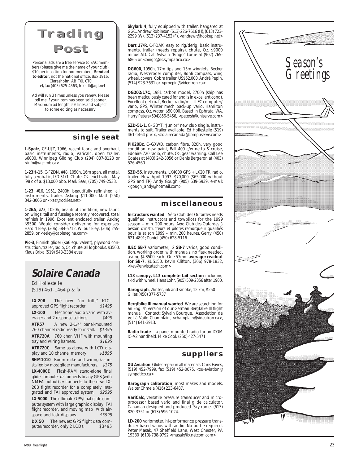



Personal ads are a free service to SAC members (please give me the name of your club). \$10 per insertion for nonmembers. **Send ad to editor**, not the national office, Box 1916, Claresholm, AB T0L 0T0 tel/fax (403) 625-4563, *free-flt@agt.net*

Ad will run 3 times unless you renew. Please tell me if your item has been sold sooner. Maximum ad length is 6 lines and subject to some editing as necessary.

### **single seat**

**L-Spatz,** CF-UJZ, 1966, recent fabric and overhaul, basic instruments, radio, Varicalc, open trailer. \$6000. Winnipeg Gliding Club (204) 837-8128 or *<info@wgc.mb.ca>*

**1-23H-15**, C-FZDN, #48, 1050h, 16m span, all metal, fully aerobatic, L/D 31/1. Chute, O 2, encl trailer. May '98 c of a. \$13,000 obo. Mark Saar, (705) 749-2533.

**1-23**, #16, 1951, 2400h, beautifully refinished, all instruments, trailer. Asking \$11,000. Matt (250) 342-3006 or *<kaz@rockies.net>*

**1-26A**, #23, 1050h, beautiful condition, new fabric on wings, tail and fuselage recently recovered, total refinish in 1996. Excellent enclosed trailer. Asking \$9500. Would consider delivering for expenses. Harold Eley, (306) 584-5712, Wilbur Eley, (306) 255- 2859, or *<eeley@cableregina.com>*

**Pic-3**, Finnish glider (Ka6 equivalent), plywood construction, trailer, radio, O2, chute, all logbooks. \$3500. Klaus Brixa (519) 948-2384 eves.

### **Solaire Canada**

Ed Hollestelle (519) 461-1464 p & fx

**LX-20B** The new "no frills" IGC– approved GPS flight recorder \$1495 **LX-100** Electronic audio vario with averager and 2 response settings \$495 erager and 2 response settings **ATR57** A new 2-1/4" panel-mounted 760 channel radio ready to install. \$1395 **ATR720A** 760 chan VHF with mounting<br>tray and wiring harness. \$1695 tray and wiring harness. **ATR720C** Same as above with LCD dis-<br>play and 10 channel memory. \$1895 play and 10 channel memory. **SHM1010** Boom mike and wiring (as installed by most glider manufacturers. \$175 **LX-4000E** Flash-RAM stand-alone final glide computer or connects to any GPS (with NMEA output) or connects to the new LX-20B flight recorder for a completely integrated and FAI approved system. \$2595 **LX-5000** The ultimate GPS/final glide computer system with large graphic display, FAI flight recorder, and moving map with airspace and task displays. \$5995

**DX 50** The newest GPS flight data computer/recorder, only 2 LCDs. \$3495 puter/recorder, only 2 LCDs.

**Skylark 4**, fully equipped with trailer, hangared at GGC. Andrew Robinson (613) 226-7616 (H), (613) 723- 2299 (W), (613) 237-4152 (F), *<andrewr@hookup.net>*

**Dart 17/R**, C-FOAK, easy to rig/derig, basic instru-<br>ments, trailer (needs repairs), chute, O2. \$9000<br>minus AD. Call Sylvain "Bingo" Larue at (902) 765-6865 or *<bingo@ns.sympatico.ca>*

**DG600**, 1050h, 17m tips and 15m winglets. Becker radio, Westerboer computer, Bohli compass, wing wheel, covers, Cobra trailer. US\$52,000. André Pepin, (514) 923-3631 or *<prpepin@videotron.ca>*

**DG202/17C**, 1981 carbon model, 2700h (ship has been meticulously cared for and is in excellent cond). Excellent gel coat, Becker radio/mic, ILEC computer/ vario, GPS, Winter mech back-up vario, Hamilton compass, O 2, water. \$50,000. Based in Ephrata, WA. Harry Peters (604)856-5456, *<petersh@uniserve.com>*

**SZD-51-1**, C–GBYT, "Junior" new club single, instruments to suit. Trailer available. Ed Hollestelle (519) 461-1464 ph/fx, *<solairecanada@compuserve.com>*

**PIK20Bc**, C–GXWD, carbon fibre, 820h, very good condition, new paint, Ball 400 c/w netto & cruise, Edoaire 720 radio, chute, O 2, gear warning. Call Lee Coates at (403) 242-3056 or Denis Bergeron at (403) 526-4560.

**SZD-55**, instruments, LX4000 GPS + LX20 FR, radio, trailer. New April 1997. \$70,000 (\$65,000 without GPS and FR) Andy Gough (905) 639-5939, e-mail: *<gough\_andy@hotmail.com>*

### **miscellaneous**

**Instructors wanted** Aéro Club des Outardes needs qualified instructors and towpilots for the 1999 season – min. 200 hours. *Aéro Club des Outardes à besoin d'instructeurs et pilotes remorqueur qualifiés pour la saison 1999 – min. 200 heures.* Gerry (450) 621-4891; Daniel (450) 628-5116.

**ILEC SB-7** variometer, 2 **SB-7** varios, good condition, working order, with manuals, no flask needed, asking \$US500 each. One 57mm **averager readout for SB-7**, \$US150. Kevin Clifton, (306) 978-1832, *<kev@envistatech.com>*

**L13 canopy, L13 complete tail section** including skid with wheel. Hans Lohr, (905) 509-2356 after 1900.

**Barograph**, Winter, ink and smoke, 12 km, \$250 Gilles (450) 377-5737

**Bergfalke III manual wanted**. We are searching for an English version of our German Bergfalke III flight manual. Contact: Sylvain Bourque, Association de Vol à Voile Champlain, *<champlain@videotron.ca>* , (514) 641-3913.

**Radio trade** – a panel mounted radio for an ICOM IC-A2 handheld. Mike Cook (250) 427-5471

### **suppliers**

**XU Aviation** Glider repair in all materials. Chris Eaves, (519) 452-7999, fax (519) 452-0075, *<xu-aviation@ sympatico.ca>*

**Barograph calibration**, most makes and models. Walter Chmela (416) 223-6487.

**VariCalc**, versatile pressure transducer and microprocessor based vario and final glide calculator, Canadian designed and produced. Skytronics (613) 820-3751 or (613) 596-1024.

**LD-200** variometer, hi-performance pressure transducer based varios with audio. No bottle required. Peter Masak, 47 Sheffield Lane, West Chester, PA 19380 (610)-738-9792 *<masak@ix.netcom.com>*